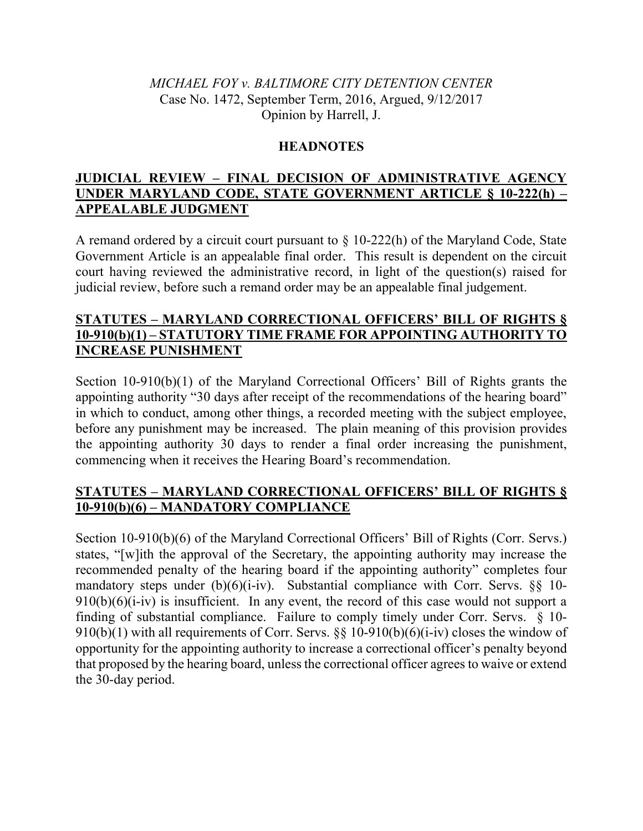# *MICHAEL FOY v. BALTIMORE CITY DETENTION CENTER*  Case No. 1472, September Term, 2016, Argued, 9/12/2017 Opinion by Harrell, J.

## **HEADNOTES**

# **JUDICIAL REVIEW – FINAL DECISION OF ADMINISTRATIVE AGENCY UNDER MARYLAND CODE, STATE GOVERNMENT ARTICLE § 10-222(h) – APPEALABLE JUDGMENT**

A remand ordered by a circuit court pursuant to § 10-222(h) of the Maryland Code, State Government Article is an appealable final order. This result is dependent on the circuit court having reviewed the administrative record, in light of the question(s) raised for judicial review, before such a remand order may be an appealable final judgement.

# **STATUTES – MARYLAND CORRECTIONAL OFFICERS' BILL OF RIGHTS § 10-910(b)(1) – STATUTORY TIME FRAME FOR APPOINTING AUTHORITY TO INCREASE PUNISHMENT**

Section 10-910(b)(1) of the Maryland Correctional Officers' Bill of Rights grants the appointing authority "30 days after receipt of the recommendations of the hearing board" in which to conduct, among other things, a recorded meeting with the subject employee, before any punishment may be increased. The plain meaning of this provision provides the appointing authority 30 days to render a final order increasing the punishment, commencing when it receives the Hearing Board's recommendation.

# **STATUTES – MARYLAND CORRECTIONAL OFFICERS' BILL OF RIGHTS § 10-910(b)(6) – MANDATORY COMPLIANCE**

Section 10-910(b)(6) of the Maryland Correctional Officers' Bill of Rights (Corr. Servs.) states, "[w]ith the approval of the Secretary, the appointing authority may increase the recommended penalty of the hearing board if the appointing authority" completes four mandatory steps under  $(b)(6)(i-iv)$ . Substantial compliance with Corr. Servs. §§ 10- $910(b)(6)(i-iv)$  is insufficient. In any event, the record of this case would not support a finding of substantial compliance. Failure to comply timely under Corr. Servs. § 10- 910(b)(1) with all requirements of Corr. Servs.  $\S$ § 10-910(b)(6)(i-iv) closes the window of opportunity for the appointing authority to increase a correctional officer's penalty beyond that proposed by the hearing board, unless the correctional officer agrees to waive or extend the 30-day period.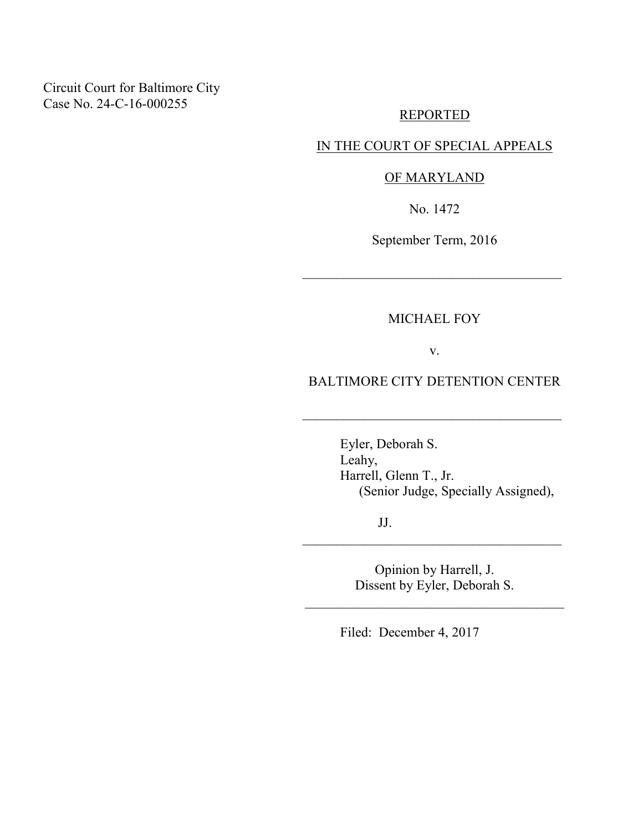Circuit Court for Baltimore City Case No. 24-C-16-000255

### REPORTED

# IN THE COURT OF SPECIAL APPEALS

### OF MARYLAND

No. 1472

September Term, 2016

 $\mathcal{L}_\text{max}$  , where  $\mathcal{L}_\text{max}$  is the set of  $\mathcal{L}_\text{max}$ 

MICHAEL FOY

v.

BALTIMORE CITY DETENTION CENTER

 $\mathcal{L}_\text{max}$  , where  $\mathcal{L}_\text{max}$  is the set of  $\mathcal{L}_\text{max}$ 

 Eyler, Deborah S. Leahy, Harrell, Glenn T., Jr. (Senior Judge, Specially Assigned),

JJ.

Opinion by Harrell, J. Dissent by Eyler, Deborah S.

\_\_\_\_\_\_\_\_\_\_\_\_\_\_\_\_\_\_\_\_\_\_\_\_\_\_\_\_\_\_\_\_\_\_\_\_\_\_

 $\mathcal{L}_\text{max}$  , where  $\mathcal{L}_\text{max}$  is the set of  $\mathcal{L}_\text{max}$ 

Filed: December 4, 2017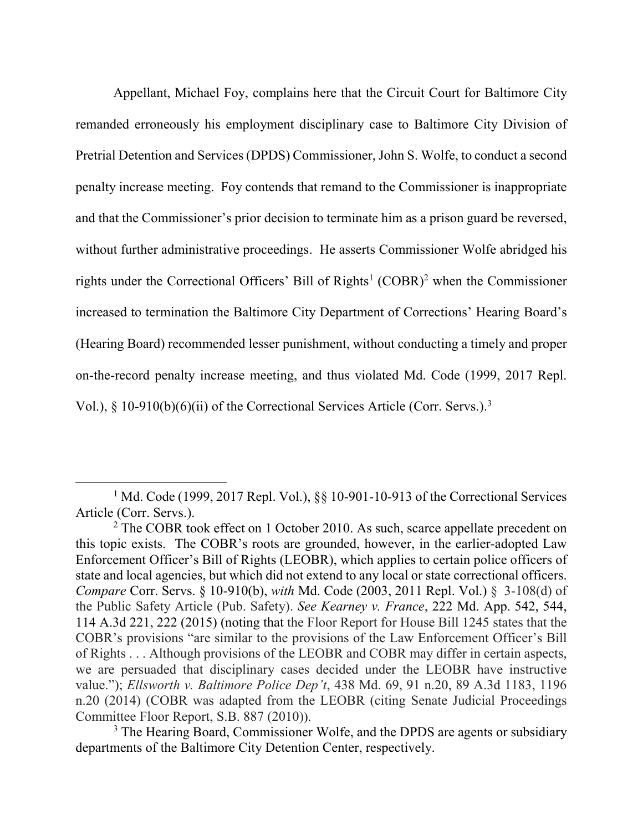Appellant, Michael Foy, complains here that the Circuit Court for Baltimore City remanded erroneously his employment disciplinary case to Baltimore City Division of Pretrial Detention and Services (DPDS) Commissioner, John S. Wolfe, to conduct a second penalty increase meeting. Foy contends that remand to the Commissioner is inappropriate and that the Commissioner's prior decision to terminate him as a prison guard be reversed, without further administrative proceedings. He asserts Commissioner Wolfe abridged his rights under the Correctional Officers' Bill of Rights<sup>1</sup> (COBR)<sup>2</sup> when the Commissioner increased to termination the Baltimore City Department of Corrections' Hearing Board's (Hearing Board) recommended lesser punishment, without conducting a timely and proper on-the-record penalty increase meeting, and thus violated Md. Code (1999, 2017 Repl. Vol.), § 10-910(b)(6)(ii) of the Correctional Services Article (Corr. Servs.).<sup>3</sup>

<sup>&</sup>lt;sup>1</sup> Md. Code (1999, 2017 Repl. Vol.), §§ 10-901-10-913 of the Correctional Services Article (Corr. Servs.).

<sup>&</sup>lt;sup>2</sup> The COBR took effect on 1 October 2010. As such, scarce appellate precedent on this topic exists. The COBR's roots are grounded, however, in the earlier-adopted Law Enforcement Officer's Bill of Rights (LEOBR), which applies to certain police officers of state and local agencies, but which did not extend to any local or state correctional officers. *Compare* Corr. Servs. § 10-910(b), *with* Md. Code (2003, 2011 Repl. Vol.) § 3-108(d) of the Public Safety Article (Pub. Safety). *See Kearney v. France*, 222 Md. App. 542, 544, 114 A.3d 221, 222 (2015) (noting that the Floor Report for House Bill 1245 states that the COBR's provisions "are similar to the provisions of the Law Enforcement Officer's Bill of Rights . . . Although provisions of the LEOBR and COBR may differ in certain aspects, we are persuaded that disciplinary cases decided under the LEOBR have instructive value."); *Ellsworth v. Baltimore Police Dep't*, 438 Md. 69, 91 n.20, 89 A.3d 1183, 1196 n.20 (2014) (COBR was adapted from the LEOBR (citing Senate Judicial Proceedings Committee Floor Report, S.B. 887 (2010)).

<sup>&</sup>lt;sup>3</sup> The Hearing Board, Commissioner Wolfe, and the DPDS are agents or subsidiary departments of the Baltimore City Detention Center, respectively.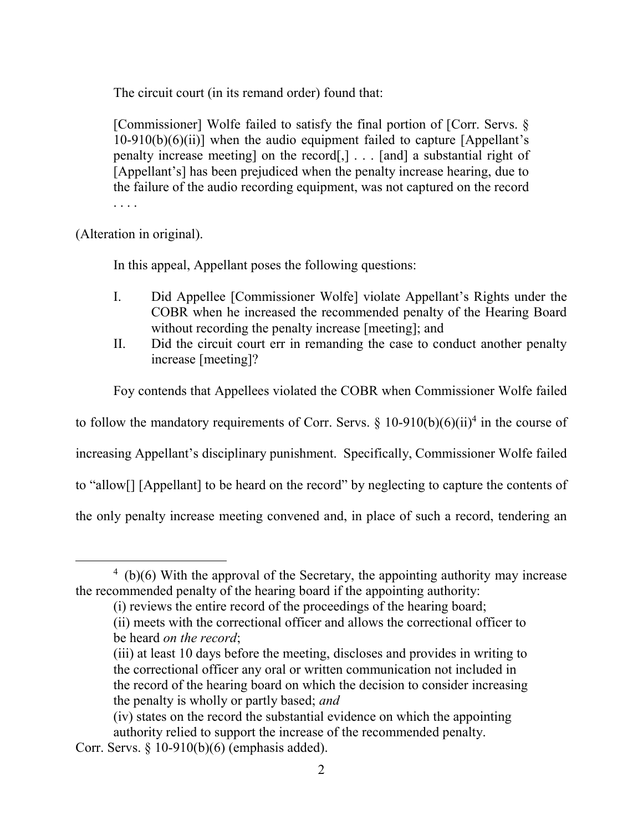The circuit court (in its remand order) found that:

[Commissioner] Wolfe failed to satisfy the final portion of [Corr. Servs. §  $10-910(b)(6)(ii)$ ] when the audio equipment failed to capture [Appellant's penalty increase meeting] on the record[,] . . . [and] a substantial right of [Appellant's] has been prejudiced when the penalty increase hearing, due to the failure of the audio recording equipment, was not captured on the record . . . .

 $\overline{a}$ 

(Alteration in original).

In this appeal, Appellant poses the following questions:

- I. Did Appellee [Commissioner Wolfe] violate Appellant's Rights under the COBR when he increased the recommended penalty of the Hearing Board without recording the penalty increase [meeting]; and
- II. Did the circuit court err in remanding the case to conduct another penalty increase [meeting]?

Foy contends that Appellees violated the COBR when Commissioner Wolfe failed

to follow the mandatory requirements of Corr. Servs.  $\S$  10-910(b)(6)(ii)<sup>4</sup> in the course of

increasing Appellant's disciplinary punishment. Specifically, Commissioner Wolfe failed

to "allow[] [Appellant] to be heard on the record" by neglecting to capture the contents of

the only penalty increase meeting convened and, in place of such a record, tendering an

<sup>&</sup>lt;sup>4</sup> (b)(6) With the approval of the Secretary, the appointing authority may increase the recommended penalty of the hearing board if the appointing authority:

<sup>(</sup>i) reviews the entire record of the proceedings of the hearing board;

 <sup>(</sup>ii) meets with the correctional officer and allows the correctional officer to be heard *on the record*;

<sup>(</sup>iii) at least 10 days before the meeting, discloses and provides in writing to the correctional officer any oral or written communication not included in the record of the hearing board on which the decision to consider increasing the penalty is wholly or partly based; *and*

<sup>(</sup>iv) states on the record the substantial evidence on which the appointing authority relied to support the increase of the recommended penalty.

Corr. Servs. § 10-910(b)(6) (emphasis added).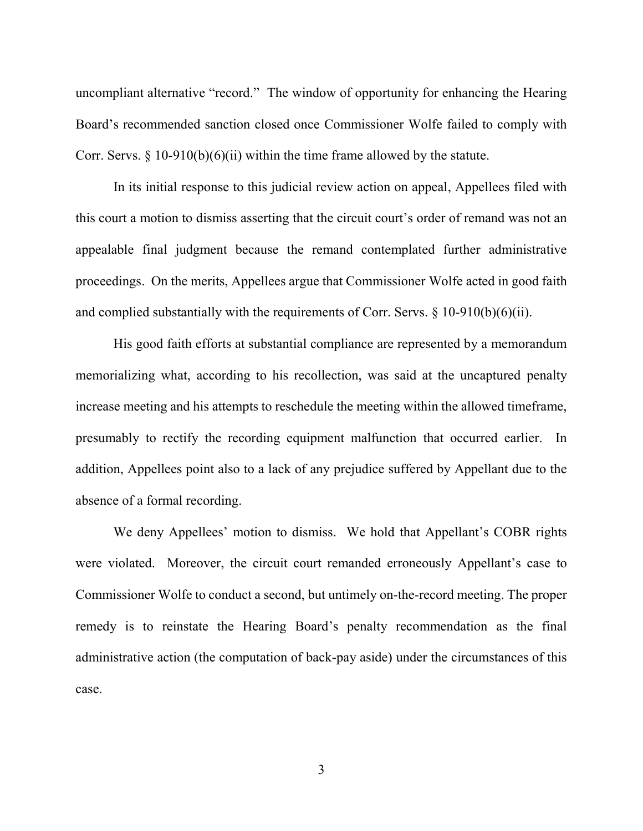uncompliant alternative "record." The window of opportunity for enhancing the Hearing Board's recommended sanction closed once Commissioner Wolfe failed to comply with Corr. Servs.  $\S$  10-910(b)(6)(ii) within the time frame allowed by the statute.

In its initial response to this judicial review action on appeal, Appellees filed with this court a motion to dismiss asserting that the circuit court's order of remand was not an appealable final judgment because the remand contemplated further administrative proceedings. On the merits, Appellees argue that Commissioner Wolfe acted in good faith and complied substantially with the requirements of Corr. Servs. § 10-910(b)(6)(ii).

His good faith efforts at substantial compliance are represented by a memorandum memorializing what, according to his recollection, was said at the uncaptured penalty increase meeting and his attempts to reschedule the meeting within the allowed timeframe, presumably to rectify the recording equipment malfunction that occurred earlier. In addition, Appellees point also to a lack of any prejudice suffered by Appellant due to the absence of a formal recording.

We deny Appellees' motion to dismiss. We hold that Appellant's COBR rights were violated. Moreover, the circuit court remanded erroneously Appellant's case to Commissioner Wolfe to conduct a second, but untimely on-the-record meeting. The proper remedy is to reinstate the Hearing Board's penalty recommendation as the final administrative action (the computation of back-pay aside) under the circumstances of this case.

3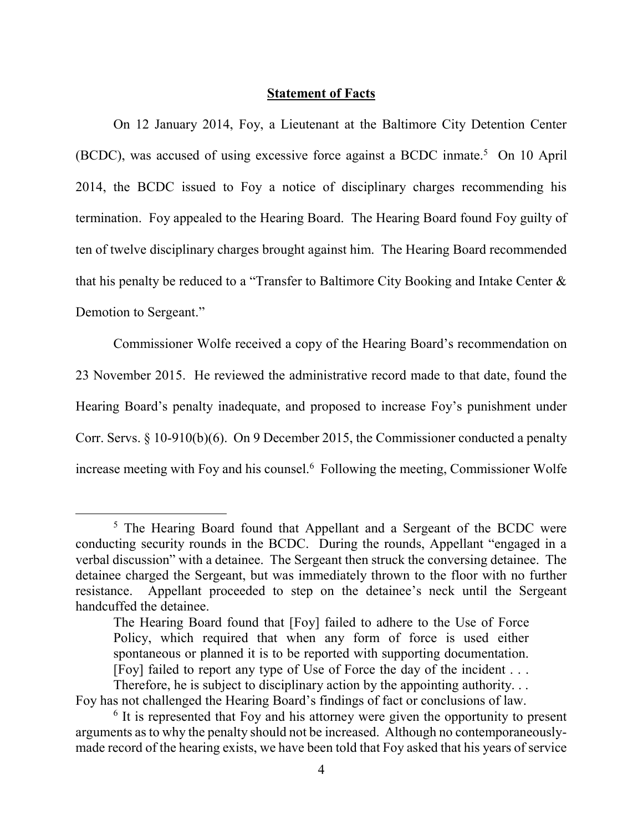### **Statement of Facts**

 On 12 January 2014, Foy, a Lieutenant at the Baltimore City Detention Center (BCDC), was accused of using excessive force against a BCDC inmate.<sup>5</sup> On 10 April 2014, the BCDC issued to Foy a notice of disciplinary charges recommending his termination. Foy appealed to the Hearing Board. The Hearing Board found Foy guilty of ten of twelve disciplinary charges brought against him. The Hearing Board recommended that his penalty be reduced to a "Transfer to Baltimore City Booking and Intake Center & Demotion to Sergeant."

 Commissioner Wolfe received a copy of the Hearing Board's recommendation on 23 November 2015. He reviewed the administrative record made to that date, found the Hearing Board's penalty inadequate, and proposed to increase Foy's punishment under Corr. Servs. § 10-910(b)(6). On 9 December 2015, the Commissioner conducted a penalty increase meeting with Foy and his counsel.<sup>6</sup> Following the meeting, Commissioner Wolfe

<sup>&</sup>lt;sup>5</sup> The Hearing Board found that Appellant and a Sergeant of the BCDC were conducting security rounds in the BCDC. During the rounds, Appellant "engaged in a verbal discussion" with a detainee. The Sergeant then struck the conversing detainee. The detainee charged the Sergeant, but was immediately thrown to the floor with no further resistance. Appellant proceeded to step on the detainee's neck until the Sergeant handcuffed the detainee.

The Hearing Board found that [Foy] failed to adhere to the Use of Force Policy, which required that when any form of force is used either spontaneous or planned it is to be reported with supporting documentation. [Foy] failed to report any type of Use of Force the day of the incident . . .

Therefore, he is subject to disciplinary action by the appointing authority. . . Foy has not challenged the Hearing Board's findings of fact or conclusions of law.

<sup>&</sup>lt;sup>6</sup> It is represented that Foy and his attorney were given the opportunity to present arguments as to why the penalty should not be increased. Although no contemporaneouslymade record of the hearing exists, we have been told that Foy asked that his years of service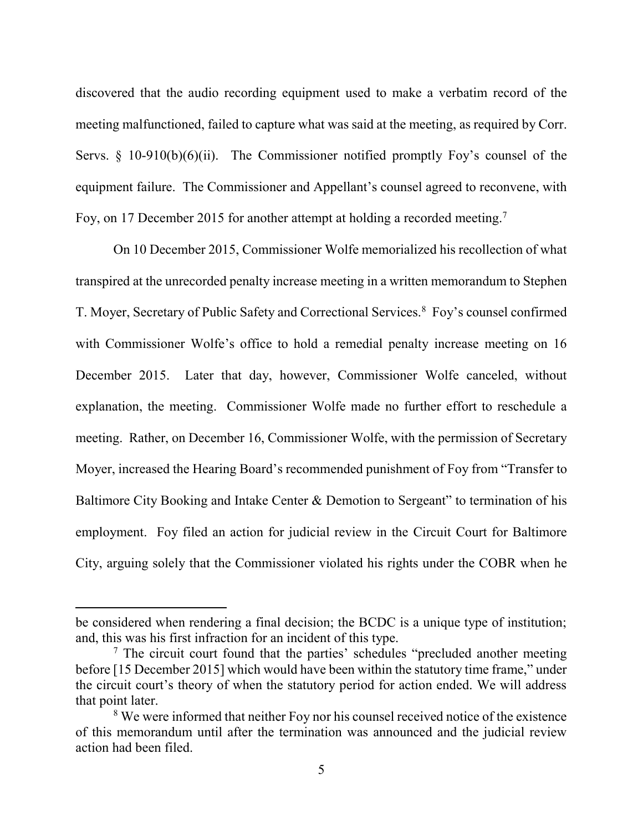discovered that the audio recording equipment used to make a verbatim record of the meeting malfunctioned, failed to capture what was said at the meeting, as required by Corr. Servs.  $\S$  10-910(b)(6)(ii). The Commissioner notified promptly Foy's counsel of the equipment failure. The Commissioner and Appellant's counsel agreed to reconvene, with Foy, on 17 December 2015 for another attempt at holding a recorded meeting.<sup>7</sup>

 On 10 December 2015, Commissioner Wolfe memorialized his recollection of what transpired at the unrecorded penalty increase meeting in a written memorandum to Stephen T. Moyer, Secretary of Public Safety and Correctional Services.<sup>8</sup> Foy's counsel confirmed with Commissioner Wolfe's office to hold a remedial penalty increase meeting on 16 December 2015. Later that day, however, Commissioner Wolfe canceled, without explanation, the meeting. Commissioner Wolfe made no further effort to reschedule a meeting. Rather, on December 16, Commissioner Wolfe, with the permission of Secretary Moyer, increased the Hearing Board's recommended punishment of Foy from "Transfer to Baltimore City Booking and Intake Center  $\&$  Demotion to Sergeant" to termination of his employment. Foy filed an action for judicial review in the Circuit Court for Baltimore City, arguing solely that the Commissioner violated his rights under the COBR when he

be considered when rendering a final decision; the BCDC is a unique type of institution; and, this was his first infraction for an incident of this type.

<sup>&</sup>lt;sup>7</sup> The circuit court found that the parties' schedules "precluded another meeting before [15 December 2015] which would have been within the statutory time frame," under the circuit court's theory of when the statutory period for action ended. We will address that point later.

<sup>&</sup>lt;sup>8</sup> We were informed that neither Foy nor his counsel received notice of the existence of this memorandum until after the termination was announced and the judicial review action had been filed.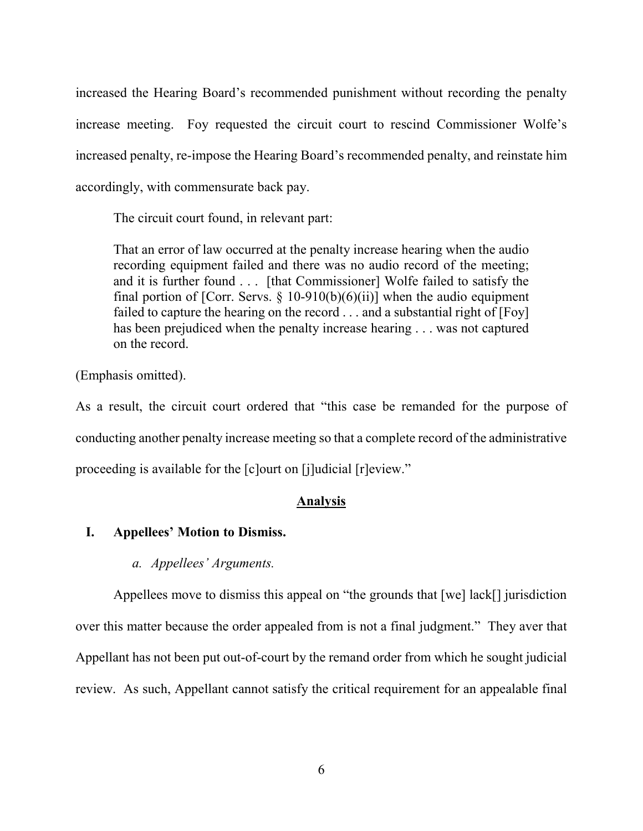increased the Hearing Board's recommended punishment without recording the penalty increase meeting. Foy requested the circuit court to rescind Commissioner Wolfe's increased penalty, re-impose the Hearing Board's recommended penalty, and reinstate him accordingly, with commensurate back pay.

The circuit court found, in relevant part:

That an error of law occurred at the penalty increase hearing when the audio recording equipment failed and there was no audio record of the meeting; and it is further found . . . [that Commissioner] Wolfe failed to satisfy the final portion of [Corr. Servs.  $\S$  10-910(b)(6)(ii)] when the audio equipment failed to capture the hearing on the record . . . and a substantial right of [Foy] has been prejudiced when the penalty increase hearing . . . was not captured on the record.

(Emphasis omitted).

As a result, the circuit court ordered that "this case be remanded for the purpose of conducting another penalty increase meeting so that a complete record of the administrative proceeding is available for the [c]ourt on [j]udicial [r]eview."

# **Analysis**

# **I. Appellees' Motion to Dismiss.**

# *a. Appellees' Arguments.*

Appellees move to dismiss this appeal on "the grounds that [we] lack[] jurisdiction over this matter because the order appealed from is not a final judgment." They aver that Appellant has not been put out-of-court by the remand order from which he sought judicial review. As such, Appellant cannot satisfy the critical requirement for an appealable final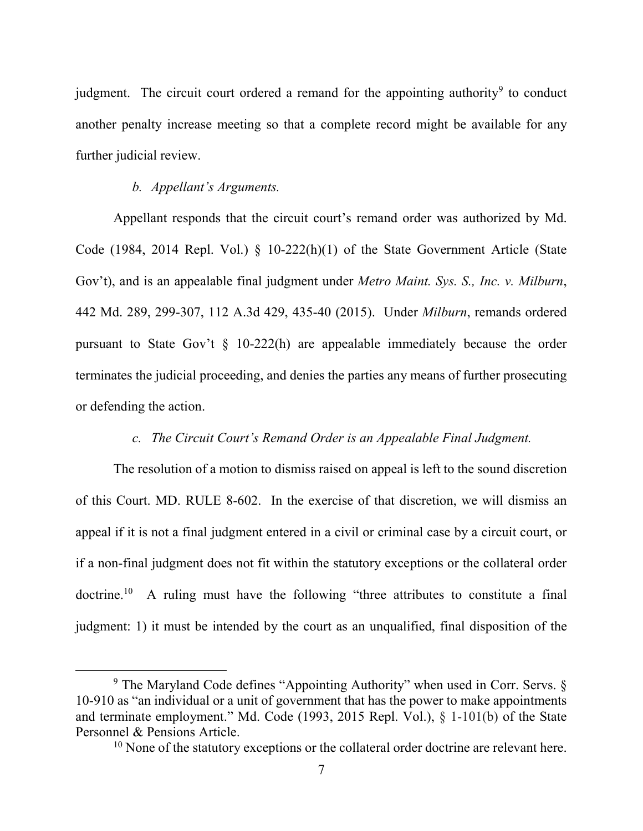judgment. The circuit court ordered a remand for the appointing authority<sup>9</sup> to conduct another penalty increase meeting so that a complete record might be available for any further judicial review.

### *b. Appellant's Arguments.*

 $\overline{a}$ 

Appellant responds that the circuit court's remand order was authorized by Md. Code (1984, 2014 Repl. Vol.) § 10-222(h)(1) of the State Government Article (State Gov't), and is an appealable final judgment under *Metro Maint. Sys. S., Inc. v. Milburn*, 442 Md. 289, 299-307, 112 A.3d 429, 435-40 (2015). Under *Milburn*, remands ordered pursuant to State Gov't  $\S$  10-222(h) are appealable immediately because the order terminates the judicial proceeding, and denies the parties any means of further prosecuting or defending the action.

### *c. The Circuit Court's Remand Order is an Appealable Final Judgment.*

The resolution of a motion to dismiss raised on appeal is left to the sound discretion of this Court. MD. RULE 8-602. In the exercise of that discretion, we will dismiss an appeal if it is not a final judgment entered in a civil or criminal case by a circuit court, or if a non-final judgment does not fit within the statutory exceptions or the collateral order doctrine.<sup>10</sup> A ruling must have the following "three attributes to constitute a final judgment: 1) it must be intended by the court as an unqualified, final disposition of the

<sup>&</sup>lt;sup>9</sup> The Maryland Code defines "Appointing Authority" when used in Corr. Servs. § 10-910 as "an individual or a unit of government that has the power to make appointments and terminate employment." Md. Code (1993, 2015 Repl. Vol.), § 1-101(b) of the State Personnel & Pensions Article.

<sup>&</sup>lt;sup>10</sup> None of the statutory exceptions or the collateral order doctrine are relevant here.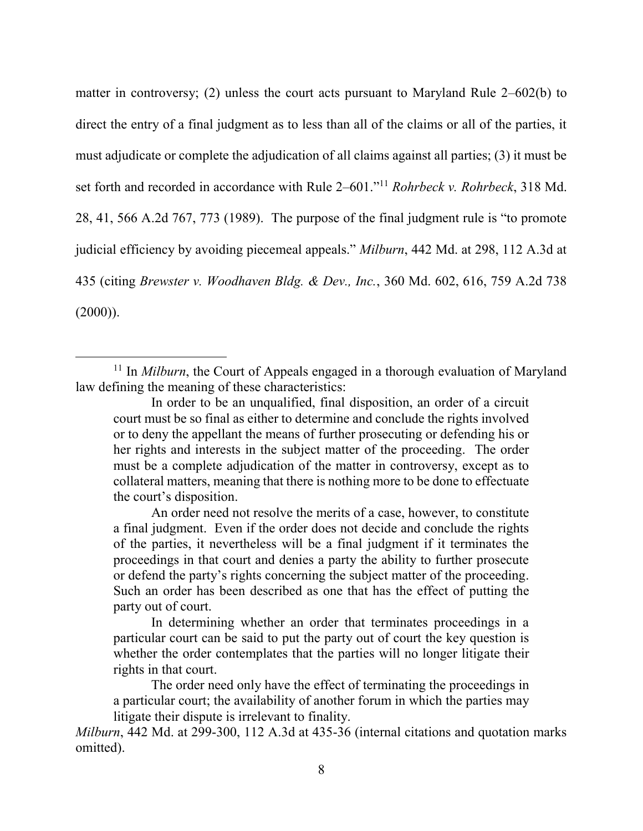matter in controversy; (2) unless the court acts pursuant to Maryland Rule 2–602(b) to direct the entry of a final judgment as to less than all of the claims or all of the parties, it must adjudicate or complete the adjudication of all claims against all parties; (3) it must be set forth and recorded in accordance with Rule 2–601."<sup>11</sup> *Rohrbeck v. Rohrbeck*, 318 Md. 28, 41, 566 A.2d 767, 773 (1989). The purpose of the final judgment rule is "to promote judicial efficiency by avoiding piecemeal appeals." *Milburn*, 442 Md. at 298, 112 A.3d at 435 (citing *Brewster v. Woodhaven Bldg. & Dev., Inc.*, 360 Md. 602, 616, 759 A.2d 738  $(2000)$ ).

<sup>&</sup>lt;sup>11</sup> In *Milburn*, the Court of Appeals engaged in a thorough evaluation of Maryland law defining the meaning of these characteristics:

In order to be an unqualified, final disposition, an order of a circuit court must be so final as either to determine and conclude the rights involved or to deny the appellant the means of further prosecuting or defending his or her rights and interests in the subject matter of the proceeding. The order must be a complete adjudication of the matter in controversy, except as to collateral matters, meaning that there is nothing more to be done to effectuate the court's disposition.

An order need not resolve the merits of a case, however, to constitute a final judgment. Even if the order does not decide and conclude the rights of the parties, it nevertheless will be a final judgment if it terminates the proceedings in that court and denies a party the ability to further prosecute or defend the party's rights concerning the subject matter of the proceeding. Such an order has been described as one that has the effect of putting the party out of court.

In determining whether an order that terminates proceedings in a particular court can be said to put the party out of court the key question is whether the order contemplates that the parties will no longer litigate their rights in that court.

The order need only have the effect of terminating the proceedings in a particular court; the availability of another forum in which the parties may litigate their dispute is irrelevant to finality.

*Milburn*, 442 Md. at 299-300, 112 A.3d at 435-36 (internal citations and quotation marks omitted).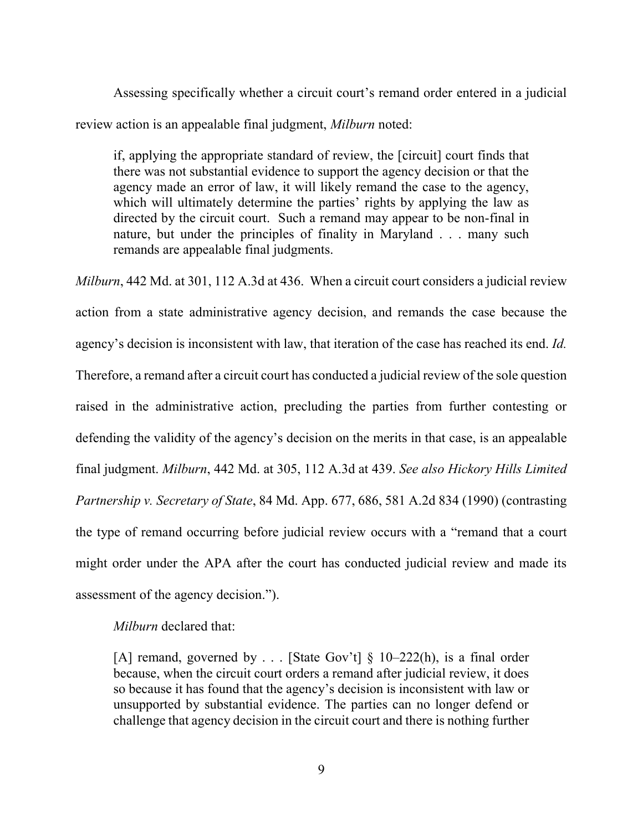Assessing specifically whether a circuit court's remand order entered in a judicial review action is an appealable final judgment, *Milburn* noted:

if, applying the appropriate standard of review, the [circuit] court finds that there was not substantial evidence to support the agency decision or that the agency made an error of law, it will likely remand the case to the agency, which will ultimately determine the parties' rights by applying the law as directed by the circuit court. Such a remand may appear to be non-final in nature, but under the principles of finality in Maryland . . . many such remands are appealable final judgments.

*Milburn*, 442 Md. at 301, 112 A.3d at 436. When a circuit court considers a judicial review action from a state administrative agency decision, and remands the case because the agency's decision is inconsistent with law, that iteration of the case has reached its end. *Id.*  Therefore, a remand after a circuit court has conducted a judicial review of the sole question raised in the administrative action, precluding the parties from further contesting or defending the validity of the agency's decision on the merits in that case, is an appealable final judgment. *Milburn*, 442 Md. at 305, 112 A.3d at 439. *See also Hickory Hills Limited Partnership v. Secretary of State*, 84 Md. App. 677, 686, 581 A.2d 834 (1990) (contrasting the type of remand occurring before judicial review occurs with a "remand that a court might order under the APA after the court has conducted judicial review and made its assessment of the agency decision.").

*Milburn* declared that:

[A] remand, governed by  $\ldots$  [State Gov't] § 10–222(h), is a final order because, when the circuit court orders a remand after judicial review, it does so because it has found that the agency's decision is inconsistent with law or unsupported by substantial evidence. The parties can no longer defend or challenge that agency decision in the circuit court and there is nothing further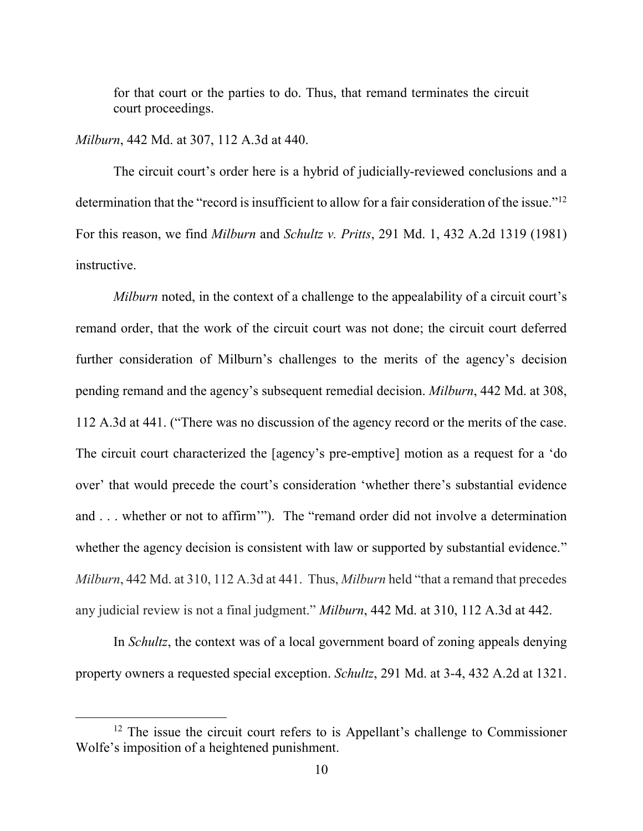for that court or the parties to do. Thus, that remand terminates the circuit court proceedings.

### *Milburn*, 442 Md. at 307, 112 A.3d at 440.

 $\overline{a}$ 

The circuit court's order here is a hybrid of judicially-reviewed conclusions and a determination that the "record is insufficient to allow for a fair consideration of the issue."<sup>12</sup> For this reason, we find *Milburn* and *Schultz v. Pritts*, 291 Md. 1, 432 A.2d 1319 (1981) instructive.

*Milburn* noted, in the context of a challenge to the appealability of a circuit court's remand order, that the work of the circuit court was not done; the circuit court deferred further consideration of Milburn's challenges to the merits of the agency's decision pending remand and the agency's subsequent remedial decision. *Milburn*, 442 Md. at 308, 112 A.3d at 441. ("There was no discussion of the agency record or the merits of the case. The circuit court characterized the [agency's pre-emptive] motion as a request for a 'do over' that would precede the court's consideration 'whether there's substantial evidence and . . . whether or not to affirm'"). The "remand order did not involve a determination whether the agency decision is consistent with law or supported by substantial evidence." *Milburn*, 442 Md. at 310, 112 A.3d at 441. Thus, *Milburn* held "that a remand that precedes any judicial review is not a final judgment." *Milburn*, 442 Md. at 310, 112 A.3d at 442.

In *Schultz*, the context was of a local government board of zoning appeals denying property owners a requested special exception. *Schultz*, 291 Md. at 3-4, 432 A.2d at 1321.

<sup>&</sup>lt;sup>12</sup> The issue the circuit court refers to is Appellant's challenge to Commissioner Wolfe's imposition of a heightened punishment.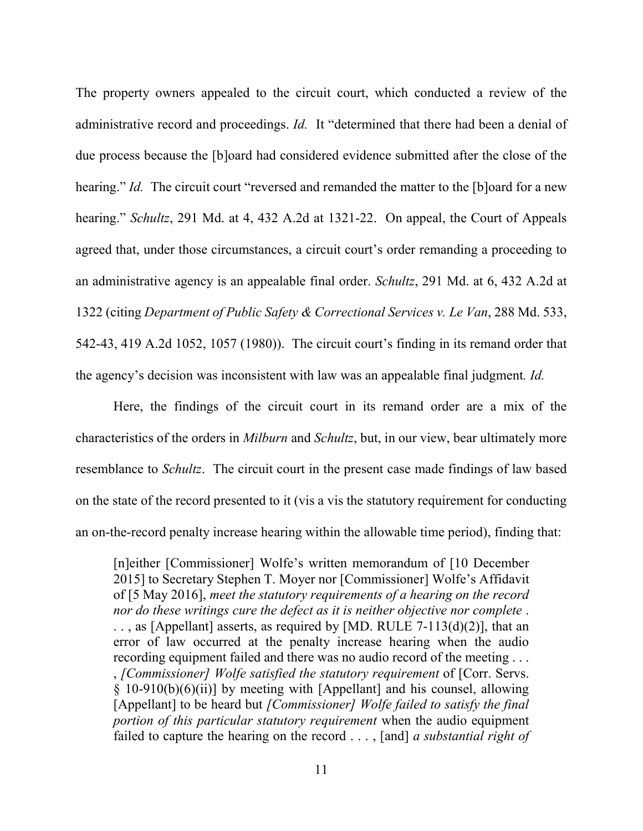The property owners appealed to the circuit court, which conducted a review of the administrative record and proceedings. *Id.* It "determined that there had been a denial of due process because the [b]oard had considered evidence submitted after the close of the hearing." *Id.* The circuit court "reversed and remanded the matter to the [b]oard for a new hearing." *Schultz*, 291 Md. at 4, 432 A.2d at 1321-22. On appeal, the Court of Appeals agreed that, under those circumstances, a circuit court's order remanding a proceeding to an administrative agency is an appealable final order. *Schultz*, 291 Md. at 6, 432 A.2d at 1322 (citing *Department of Public Safety & Correctional Services v. Le Van*, 288 Md. 533, 542-43, 419 A.2d 1052, 1057 (1980)). The circuit court's finding in its remand order that the agency's decision was inconsistent with law was an appealable final judgment*. Id.* 

Here, the findings of the circuit court in its remand order are a mix of the characteristics of the orders in *Milburn* and *Schultz*, but, in our view, bear ultimately more resemblance to *Schultz*. The circuit court in the present case made findings of law based on the state of the record presented to it (vis a vis the statutory requirement for conducting an on-the-record penalty increase hearing within the allowable time period), finding that:

[n]either [Commissioner] Wolfe's written memorandum of [10 December 2015] to Secretary Stephen T. Moyer nor [Commissioner] Wolfe's Affidavit of [5 May 2016], *meet the statutory requirements of a hearing on the record nor do these writings cure the defect as it is neither objective nor complete* . . . , as [Appellant] asserts, as required by [MD. RULE 7-113(d)(2)], that an error of law occurred at the penalty increase hearing when the audio recording equipment failed and there was no audio record of the meeting . . . , *[Commissioner] Wolfe satisfied the statutory requirement* of [Corr. Servs. § 10-910(b)(6)(ii)] by meeting with [Appellant] and his counsel, allowing [Appellant] to be heard but *[Commissioner] Wolfe failed to satisfy the final portion of this particular statutory requirement* when the audio equipment failed to capture the hearing on the record . . . , [and] *a substantial right of*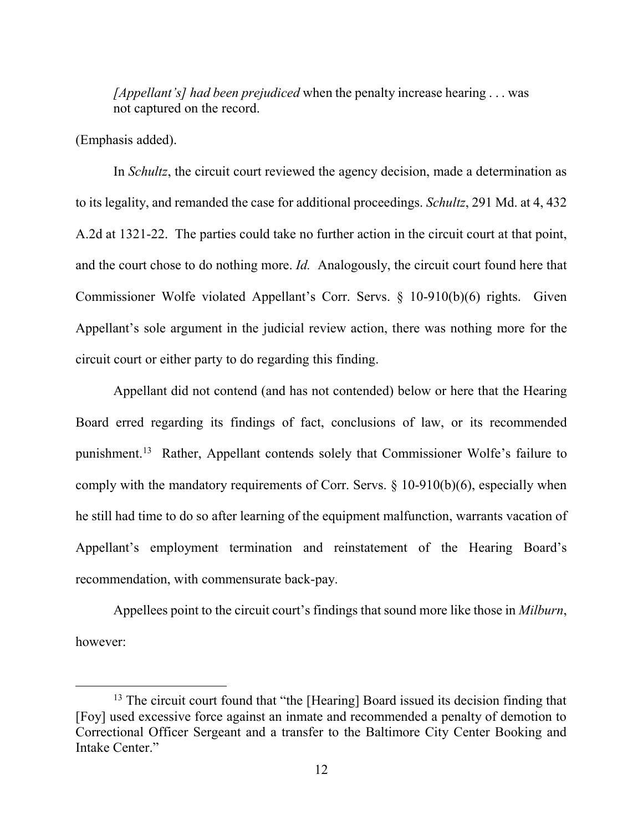*[Appellant's] had been prejudiced* when the penalty increase hearing . . . was not captured on the record.

(Emphasis added).

 $\overline{a}$ 

In *Schultz*, the circuit court reviewed the agency decision, made a determination as to its legality, and remanded the case for additional proceedings. *Schultz*, 291 Md. at 4, 432 A.2d at 1321-22. The parties could take no further action in the circuit court at that point, and the court chose to do nothing more. *Id.* Analogously, the circuit court found here that Commissioner Wolfe violated Appellant's Corr. Servs. § 10-910(b)(6) rights. Given Appellant's sole argument in the judicial review action, there was nothing more for the circuit court or either party to do regarding this finding.

Appellant did not contend (and has not contended) below or here that the Hearing Board erred regarding its findings of fact, conclusions of law, or its recommended punishment.<sup>13</sup> Rather, Appellant contends solely that Commissioner Wolfe's failure to comply with the mandatory requirements of Corr. Servs. § 10-910(b)(6), especially when he still had time to do so after learning of the equipment malfunction, warrants vacation of Appellant's employment termination and reinstatement of the Hearing Board's recommendation, with commensurate back-pay.

Appellees point to the circuit court's findings that sound more like those in *Milburn*, however:

<sup>&</sup>lt;sup>13</sup> The circuit court found that "the [Hearing] Board issued its decision finding that [Foy] used excessive force against an inmate and recommended a penalty of demotion to Correctional Officer Sergeant and a transfer to the Baltimore City Center Booking and Intake Center."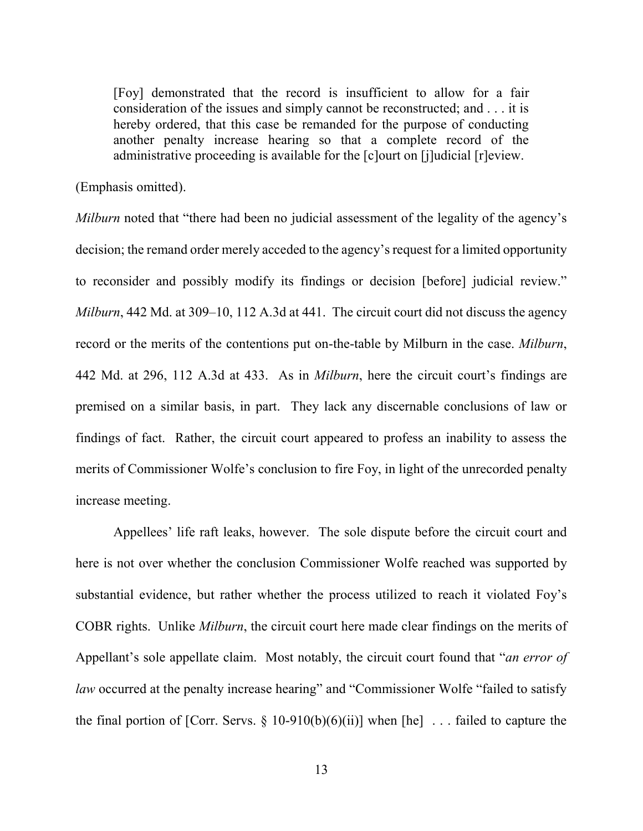[Foy] demonstrated that the record is insufficient to allow for a fair consideration of the issues and simply cannot be reconstructed; and . . . it is hereby ordered, that this case be remanded for the purpose of conducting another penalty increase hearing so that a complete record of the administrative proceeding is available for the [c]ourt on [j]udicial [r]eview.

(Emphasis omitted).

*Milburn* noted that "there had been no judicial assessment of the legality of the agency's decision; the remand order merely acceded to the agency's request for a limited opportunity to reconsider and possibly modify its findings or decision [before] judicial review." *Milburn*, 442 Md. at 309–10, 112 A.3d at 441. The circuit court did not discuss the agency record or the merits of the contentions put on-the-table by Milburn in the case. *Milburn*, 442 Md. at 296, 112 A.3d at 433. As in *Milburn*, here the circuit court's findings are premised on a similar basis, in part. They lack any discernable conclusions of law or findings of fact. Rather, the circuit court appeared to profess an inability to assess the merits of Commissioner Wolfe's conclusion to fire Foy, in light of the unrecorded penalty increase meeting.

Appellees' life raft leaks, however. The sole dispute before the circuit court and here is not over whether the conclusion Commissioner Wolfe reached was supported by substantial evidence, but rather whether the process utilized to reach it violated Foy's COBR rights. Unlike *Milburn*, the circuit court here made clear findings on the merits of Appellant's sole appellate claim. Most notably, the circuit court found that "*an error of law* occurred at the penalty increase hearing" and "Commissioner Wolfe "failed to satisfy the final portion of [Corr. Servs.  $\S$  10-910(b)(6)(ii)] when [he] ... failed to capture the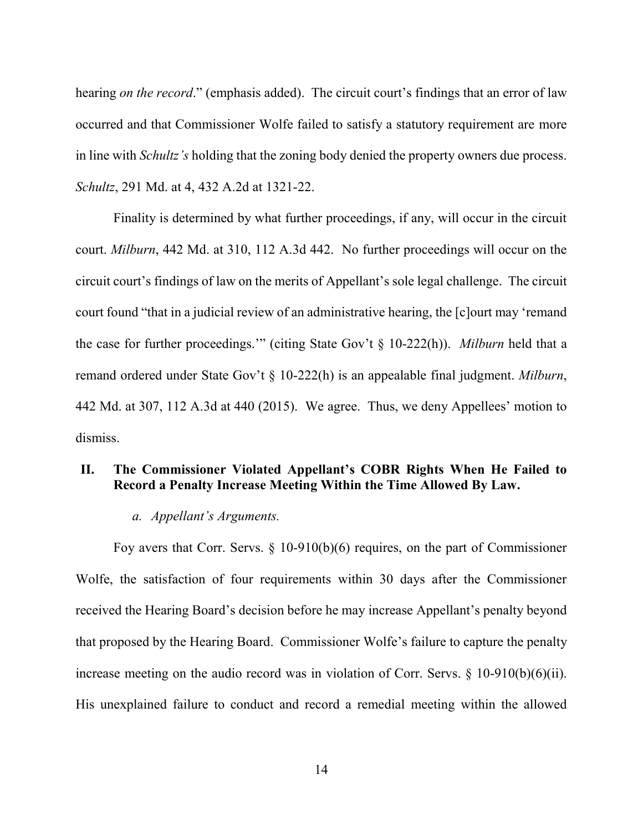hearing *on the record*." (emphasis added). The circuit court's findings that an error of law occurred and that Commissioner Wolfe failed to satisfy a statutory requirement are more in line with *Schultz's* holding that the zoning body denied the property owners due process. *Schultz*, 291 Md. at 4, 432 A.2d at 1321-22.

 Finality is determined by what further proceedings, if any, will occur in the circuit court. *Milburn*, 442 Md. at 310, 112 A.3d 442. No further proceedings will occur on the circuit court's findings of law on the merits of Appellant's sole legal challenge. The circuit court found "that in a judicial review of an administrative hearing, the [c]ourt may 'remand the case for further proceedings.'" (citing State Gov't § 10-222(h)). *Milburn* held that a remand ordered under State Gov't § 10-222(h) is an appealable final judgment. *Milburn*, 442 Md. at 307, 112 A.3d at 440 (2015). We agree. Thus, we deny Appellees' motion to dismiss.

# **II. The Commissioner Violated Appellant's COBR Rights When He Failed to Record a Penalty Increase Meeting Within the Time Allowed By Law.**

#### *a. Appellant's Arguments.*

Foy avers that Corr. Servs. § 10-910(b)(6) requires, on the part of Commissioner Wolfe, the satisfaction of four requirements within 30 days after the Commissioner received the Hearing Board's decision before he may increase Appellant's penalty beyond that proposed by the Hearing Board. Commissioner Wolfe's failure to capture the penalty increase meeting on the audio record was in violation of Corr. Servs.  $\S$  10-910(b)(6)(ii). His unexplained failure to conduct and record a remedial meeting within the allowed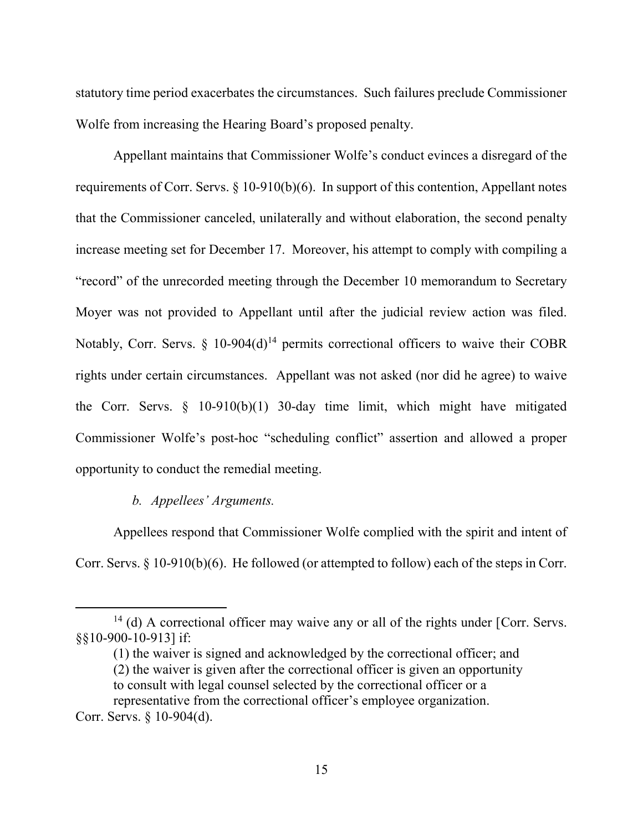statutory time period exacerbates the circumstances. Such failures preclude Commissioner Wolfe from increasing the Hearing Board's proposed penalty.

Appellant maintains that Commissioner Wolfe's conduct evinces a disregard of the requirements of Corr. Servs. § 10-910(b)(6). In support of this contention, Appellant notes that the Commissioner canceled, unilaterally and without elaboration, the second penalty increase meeting set for December 17. Moreover, his attempt to comply with compiling a "record" of the unrecorded meeting through the December 10 memorandum to Secretary Moyer was not provided to Appellant until after the judicial review action was filed. Notably, Corr. Servs.  $\S$  10-904(d)<sup>14</sup> permits correctional officers to waive their COBR rights under certain circumstances. Appellant was not asked (nor did he agree) to waive the Corr. Servs.  $\S$  10-910(b)(1) 30-day time limit, which might have mitigated Commissioner Wolfe's post-hoc "scheduling conflict" assertion and allowed a proper opportunity to conduct the remedial meeting.

## *b. Appellees' Arguments.*

Appellees respond that Commissioner Wolfe complied with the spirit and intent of Corr. Servs. § 10-910(b)(6). He followed (or attempted to follow) each of the steps in Corr.

<sup>&</sup>lt;sup>14</sup> (d) A correctional officer may waive any or all of the rights under [Corr. Servs. §§10-900-10-913] if:

<sup>(1)</sup> the waiver is signed and acknowledged by the correctional officer; and (2) the waiver is given after the correctional officer is given an opportunity to consult with legal counsel selected by the correctional officer or a representative from the correctional officer's employee organization.

Corr. Servs. § 10-904(d).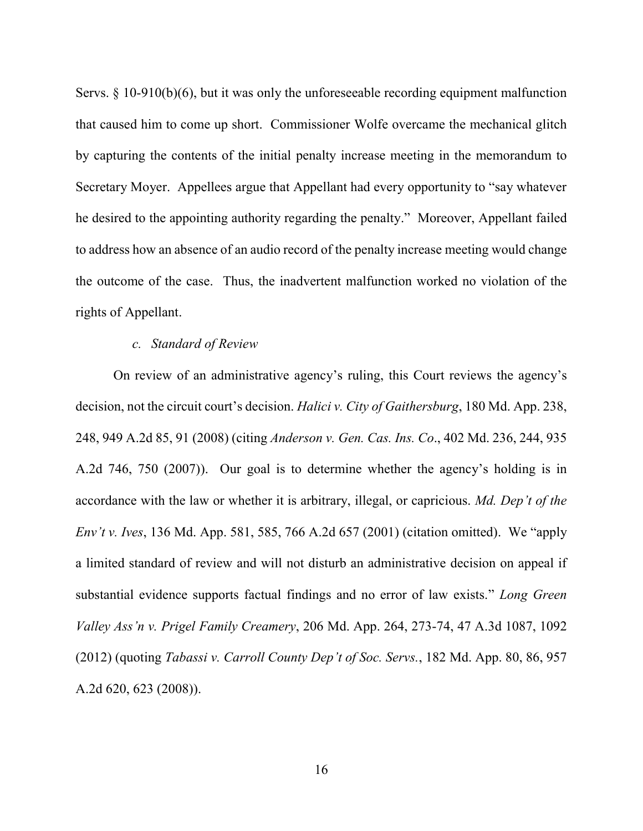Servs. § 10-910(b)(6), but it was only the unforeseeable recording equipment malfunction that caused him to come up short. Commissioner Wolfe overcame the mechanical glitch by capturing the contents of the initial penalty increase meeting in the memorandum to Secretary Moyer. Appellees argue that Appellant had every opportunity to "say whatever he desired to the appointing authority regarding the penalty." Moreover, Appellant failed to address how an absence of an audio record of the penalty increase meeting would change the outcome of the case. Thus, the inadvertent malfunction worked no violation of the rights of Appellant.

#### *c. Standard of Review*

On review of an administrative agency's ruling, this Court reviews the agency's decision, not the circuit court's decision. *Halici v. City of Gaithersburg*, 180 Md. App. 238, 248, 949 A.2d 85, 91 (2008) (citing *Anderson v. Gen. Cas. Ins. Co*., 402 Md. 236, 244, 935 A.2d 746, 750 (2007)). Our goal is to determine whether the agency's holding is in accordance with the law or whether it is arbitrary, illegal, or capricious. *Md. Dep't of the Env't v. Ives*, 136 Md. App. 581, 585, 766 A.2d 657 (2001) (citation omitted). We "apply a limited standard of review and will not disturb an administrative decision on appeal if substantial evidence supports factual findings and no error of law exists." *Long Green Valley Ass'n v. Prigel Family Creamery*, 206 Md. App. 264, 273-74, 47 A.3d 1087, 1092 (2012) (quoting *Tabassi v. Carroll County Dep't of Soc. Servs.*, 182 Md. App. 80, 86, 957 A.2d 620, 623 (2008)).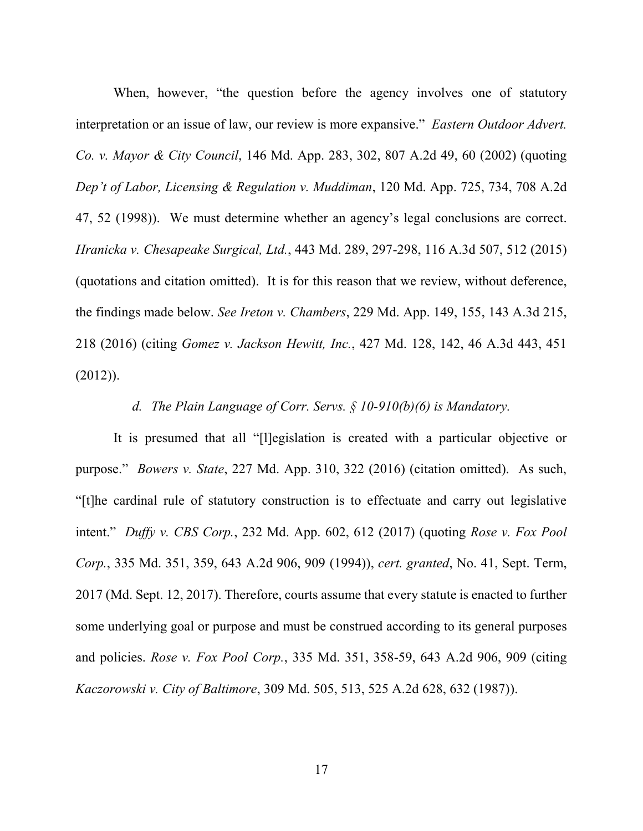When, however, "the question before the agency involves one of statutory interpretation or an issue of law, our review is more expansive." *Eastern Outdoor Advert. Co. v. Mayor & City Council*, 146 Md. App. 283, 302, 807 A.2d 49, 60 (2002) (quoting *Dep't of Labor, Licensing & Regulation v. Muddiman*, 120 Md. App. 725, 734, 708 A.2d 47, 52 (1998)). We must determine whether an agency's legal conclusions are correct. *Hranicka v. Chesapeake Surgical, Ltd.*, 443 Md. 289, 297-298, 116 A.3d 507, 512 (2015) (quotations and citation omitted). It is for this reason that we review, without deference, the findings made below. *See Ireton v. Chambers*, 229 Md. App. 149, 155, 143 A.3d 215, 218 (2016) (citing *Gomez v. Jackson Hewitt, Inc.*, 427 Md. 128, 142, 46 A.3d 443, 451  $(2012)$ ).

*d. The Plain Language of Corr. Servs. § 10-910(b)(6) is Mandatory.* 

It is presumed that all "[l]egislation is created with a particular objective or purpose." *Bowers v. State*, 227 Md. App. 310, 322 (2016) (citation omitted). As such, "[t]he cardinal rule of statutory construction is to effectuate and carry out legislative intent." *Duffy v. CBS Corp.*, 232 Md. App. 602, 612 (2017) (quoting *Rose v. Fox Pool Corp.*, 335 Md. 351, 359, 643 A.2d 906, 909 (1994)), *cert. granted*, No. 41, Sept. Term, 2017 (Md. Sept. 12, 2017). Therefore, courts assume that every statute is enacted to further some underlying goal or purpose and must be construed according to its general purposes and policies. *Rose v. Fox Pool Corp.*, 335 Md. 351, 358-59, 643 A.2d 906, 909 (citing *Kaczorowski v. City of Baltimore*, 309 Md. 505, 513, 525 A.2d 628, 632 (1987)).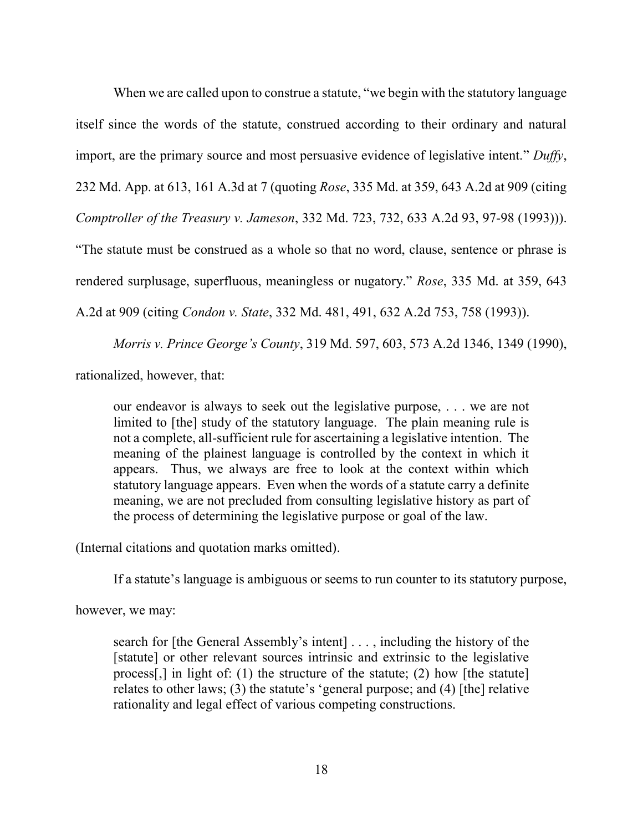When we are called upon to construe a statute, "we begin with the statutory language itself since the words of the statute, construed according to their ordinary and natural import, are the primary source and most persuasive evidence of legislative intent." *Duffy*, 232 Md. App. at 613, 161 A.3d at 7 (quoting *Rose*, 335 Md. at 359, 643 A.2d at 909 (citing *Comptroller of the Treasury v. Jameson*, 332 Md. 723, 732, 633 A.2d 93, 97-98 (1993))). "The statute must be construed as a whole so that no word, clause, sentence or phrase is rendered surplusage, superfluous, meaningless or nugatory." *Rose*, 335 Md. at 359, 643

A.2d at 909 (citing *Condon v. State*, 332 Md. 481, 491, 632 A.2d 753, 758 (1993)).

*Morris v. Prince George's County*, 319 Md. 597, 603, 573 A.2d 1346, 1349 (1990),

rationalized, however, that:

our endeavor is always to seek out the legislative purpose, . . . we are not limited to [the] study of the statutory language. The plain meaning rule is not a complete, all-sufficient rule for ascertaining a legislative intention. The meaning of the plainest language is controlled by the context in which it appears. Thus, we always are free to look at the context within which statutory language appears. Even when the words of a statute carry a definite meaning, we are not precluded from consulting legislative history as part of the process of determining the legislative purpose or goal of the law.

(Internal citations and quotation marks omitted).

If a statute's language is ambiguous or seems to run counter to its statutory purpose,

however, we may:

search for [the General Assembly's intent] . . . , including the history of the [statute] or other relevant sources intrinsic and extrinsic to the legislative process[,] in light of: (1) the structure of the statute; (2) how [the statute] relates to other laws; (3) the statute's 'general purpose; and (4) [the] relative rationality and legal effect of various competing constructions.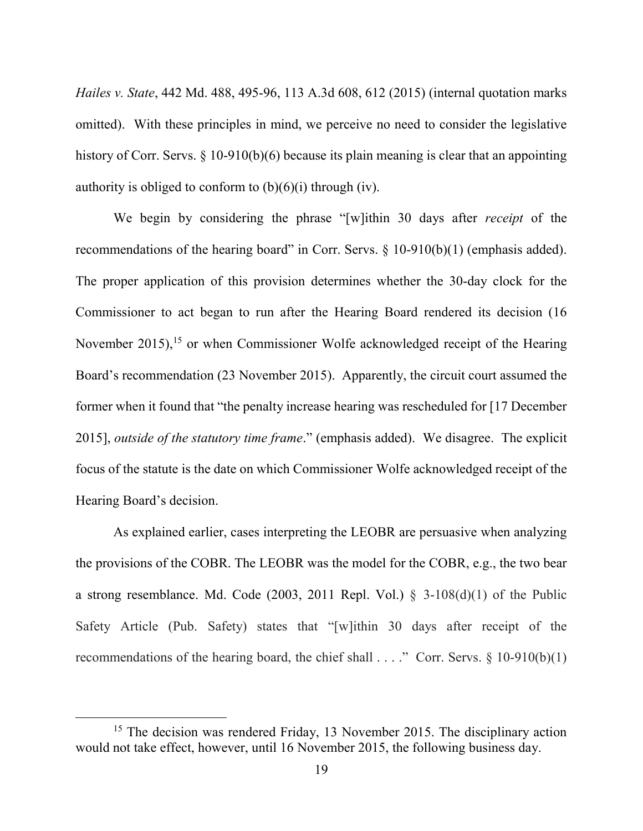*Hailes v. State*, 442 Md. 488, 495-96, 113 A.3d 608, 612 (2015) (internal quotation marks omitted). With these principles in mind, we perceive no need to consider the legislative history of Corr. Servs. § 10-910(b)(6) because its plain meaning is clear that an appointing authority is obliged to conform to  $(b)(6)(i)$  through  $(iv)$ .

 We begin by considering the phrase "[w]ithin 30 days after *receipt* of the recommendations of the hearing board" in Corr. Servs. § 10-910(b)(1) (emphasis added). The proper application of this provision determines whether the 30-day clock for the Commissioner to act began to run after the Hearing Board rendered its decision (16 November 2015),<sup>15</sup> or when Commissioner Wolfe acknowledged receipt of the Hearing Board's recommendation (23 November 2015). Apparently, the circuit court assumed the former when it found that "the penalty increase hearing was rescheduled for [17 December 2015], *outside of the statutory time frame*." (emphasis added). We disagree. The explicit focus of the statute is the date on which Commissioner Wolfe acknowledged receipt of the Hearing Board's decision.

 As explained earlier, cases interpreting the LEOBR are persuasive when analyzing the provisions of the COBR. The LEOBR was the model for the COBR, e.g., the two bear a strong resemblance. Md. Code (2003, 2011 Repl. Vol.)  $\delta$  3-108(d)(1) of the Public Safety Article (Pub. Safety) states that "[w]ithin 30 days after receipt of the recommendations of the hearing board, the chief shall . . . ." Corr. Servs. § 10-910(b)(1)

<sup>&</sup>lt;sup>15</sup> The decision was rendered Friday, 13 November 2015. The disciplinary action would not take effect, however, until 16 November 2015, the following business day.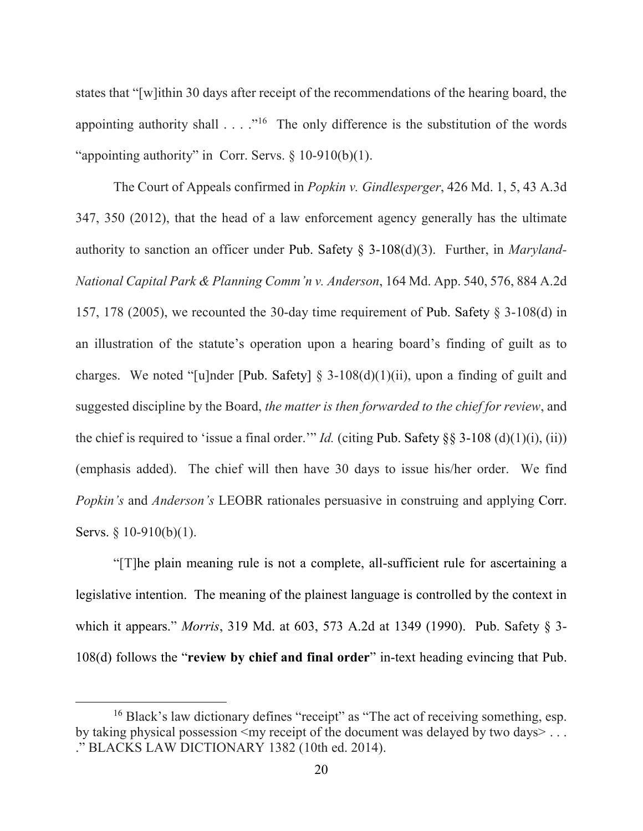states that "[w]ithin 30 days after receipt of the recommendations of the hearing board, the appointing authority shall  $\ldots$  ."<sup>16</sup> The only difference is the substitution of the words "appointing authority" in Corr. Servs.  $\S$  10-910(b)(1).

 The Court of Appeals confirmed in *Popkin v. Gindlesperger*, 426 Md. 1, 5, 43 A.3d 347, 350 (2012), that the head of a law enforcement agency generally has the ultimate authority to sanction an officer under Pub. Safety § 3-108(d)(3). Further, in *Maryland-National Capital Park & Planning Comm'n v. Anderson*, 164 Md. App. 540, 576, 884 A.2d 157, 178 (2005), we recounted the 30-day time requirement of Pub. Safety § 3-108(d) in an illustration of the statute's operation upon a hearing board's finding of guilt as to charges. We noted "[u]nder [Pub. Safety]  $\S$  3-108(d)(1)(ii), upon a finding of guilt and suggested discipline by the Board, *the matter is then forwarded to the chief for review*, and the chief is required to 'issue a final order.'" *Id.* (citing Pub. Safety §§ 3-108 (d)(1)(i), (ii)) (emphasis added). The chief will then have 30 days to issue his/her order. We find *Popkin's* and *Anderson's* LEOBR rationales persuasive in construing and applying Corr. Servs. § 10-910(b)(1).

 "[T]he plain meaning rule is not a complete, all-sufficient rule for ascertaining a legislative intention. The meaning of the plainest language is controlled by the context in which it appears." *Morris*, 319 Md. at 603, 573 A.2d at 1349 (1990). Pub. Safety § 3- 108(d) follows the "**review by chief and final order**" in-text heading evincing that Pub.

<sup>16</sup> Black's law dictionary defines "receipt" as "The act of receiving something, esp. by taking physical possession  $\leq$  my receipt of the document was delayed by two days $> \ldots$ ." BLACKS LAW DICTIONARY 1382 (10th ed. 2014).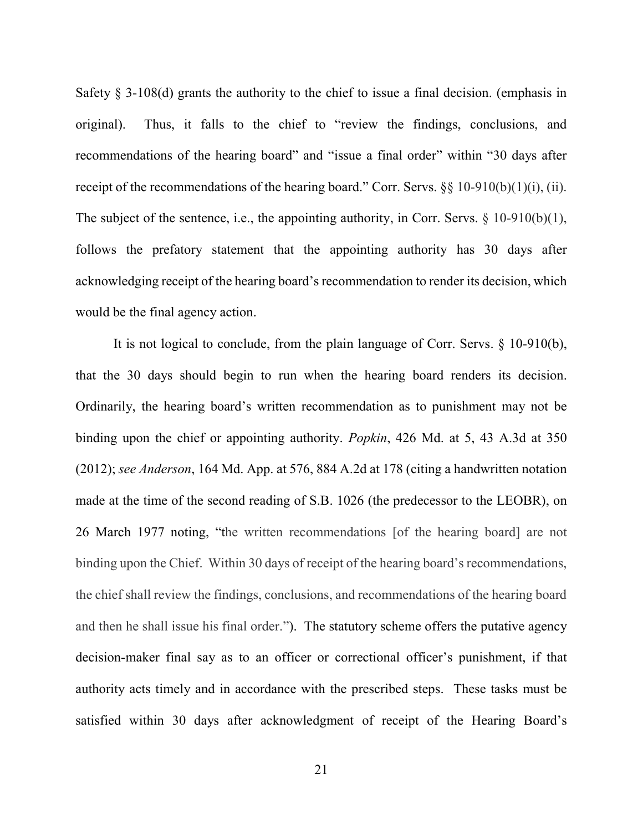Safety  $\S$  3-108(d) grants the authority to the chief to issue a final decision. (emphasis in original). Thus, it falls to the chief to "review the findings, conclusions, and recommendations of the hearing board" and "issue a final order" within "30 days after receipt of the recommendations of the hearing board." Corr. Servs.  $\S$ § 10-910(b)(1)(i), (ii). The subject of the sentence, i.e., the appointing authority, in Corr. Servs. § 10-910(b)(1), follows the prefatory statement that the appointing authority has 30 days after acknowledging receipt of the hearing board's recommendation to render its decision, which would be the final agency action.

 It is not logical to conclude, from the plain language of Corr. Servs. § 10-910(b), that the 30 days should begin to run when the hearing board renders its decision. Ordinarily, the hearing board's written recommendation as to punishment may not be binding upon the chief or appointing authority. *Popkin*, 426 Md. at 5, 43 A.3d at 350 (2012); *see Anderson*, 164 Md. App. at 576, 884 A.2d at 178 (citing a handwritten notation made at the time of the second reading of S.B. 1026 (the predecessor to the LEOBR), on 26 March 1977 noting, "the written recommendations [of the hearing board] are not binding upon the Chief. Within 30 days of receipt of the hearing board's recommendations, the chief shall review the findings, conclusions, and recommendations of the hearing board and then he shall issue his final order."). The statutory scheme offers the putative agency decision-maker final say as to an officer or correctional officer's punishment, if that authority acts timely and in accordance with the prescribed steps. These tasks must be satisfied within 30 days after acknowledgment of receipt of the Hearing Board's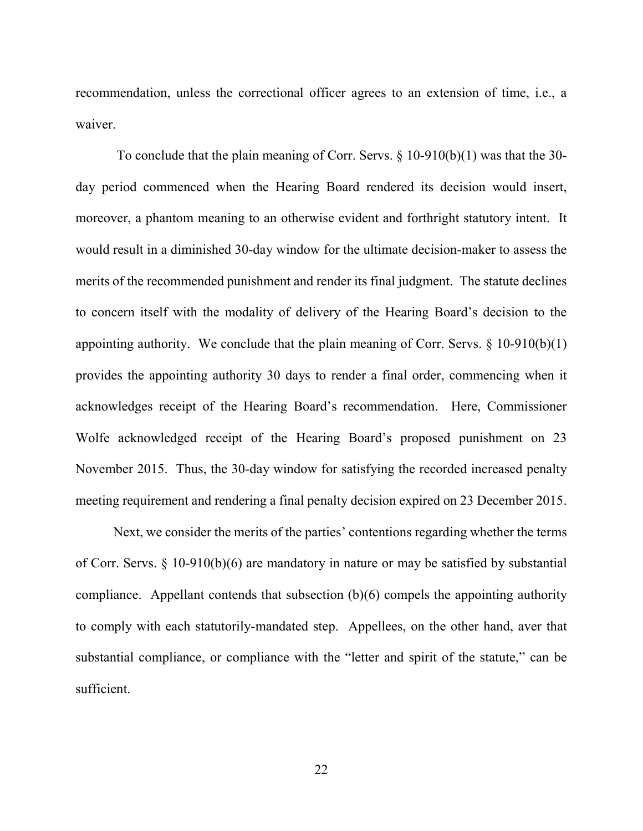recommendation, unless the correctional officer agrees to an extension of time, i.e., a waiver.

To conclude that the plain meaning of Corr. Servs. § 10-910(b)(1) was that the 30 day period commenced when the Hearing Board rendered its decision would insert, moreover, a phantom meaning to an otherwise evident and forthright statutory intent. It would result in a diminished 30-day window for the ultimate decision-maker to assess the merits of the recommended punishment and render its final judgment. The statute declines to concern itself with the modality of delivery of the Hearing Board's decision to the appointing authority. We conclude that the plain meaning of Corr. Servs.  $\S$  10-910(b)(1) provides the appointing authority 30 days to render a final order, commencing when it acknowledges receipt of the Hearing Board's recommendation. Here, Commissioner Wolfe acknowledged receipt of the Hearing Board's proposed punishment on 23 November 2015. Thus, the 30-day window for satisfying the recorded increased penalty meeting requirement and rendering a final penalty decision expired on 23 December 2015.

 Next, we consider the merits of the parties' contentions regarding whether the terms of Corr. Servs. § 10-910(b)(6) are mandatory in nature or may be satisfied by substantial compliance. Appellant contends that subsection (b)(6) compels the appointing authority to comply with each statutorily-mandated step. Appellees, on the other hand, aver that substantial compliance, or compliance with the "letter and spirit of the statute," can be sufficient.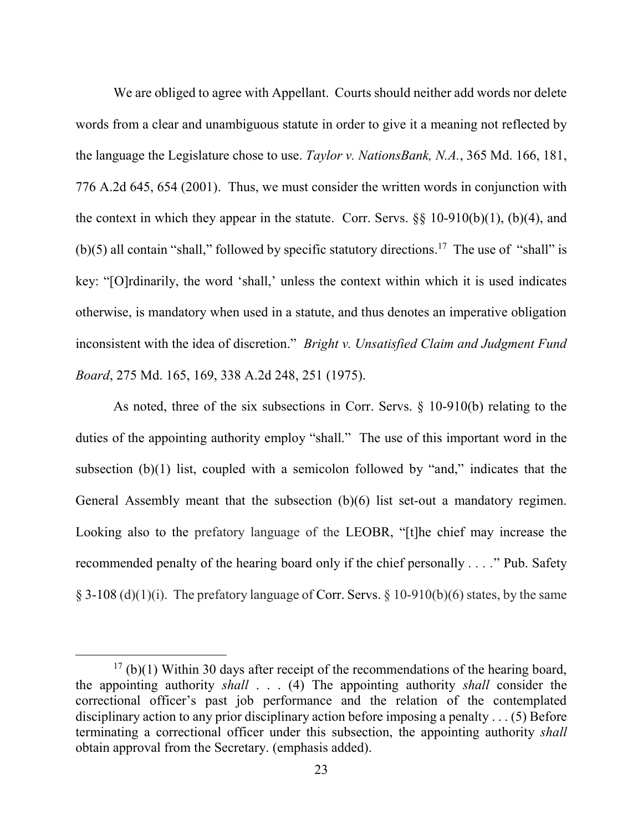We are obliged to agree with Appellant. Courts should neither add words nor delete words from a clear and unambiguous statute in order to give it a meaning not reflected by the language the Legislature chose to use. *Taylor v. NationsBank, N.A.*, 365 Md. 166, 181, 776 A.2d 645, 654 (2001). Thus, we must consider the written words in conjunction with the context in which they appear in the statute. Corr. Servs.  $\S$ § 10-910(b)(1), (b)(4), and (b)(5) all contain "shall," followed by specific statutory directions.<sup>17</sup> The use of "shall" is key: "[O]rdinarily, the word 'shall,' unless the context within which it is used indicates otherwise, is mandatory when used in a statute, and thus denotes an imperative obligation inconsistent with the idea of discretion." *Bright v. Unsatisfied Claim and Judgment Fund Board*, 275 Md. 165, 169, 338 A.2d 248, 251 (1975).

As noted, three of the six subsections in Corr. Servs. § 10-910(b) relating to the duties of the appointing authority employ "shall." The use of this important word in the subsection (b)(1) list, coupled with a semicolon followed by "and," indicates that the General Assembly meant that the subsection (b)(6) list set-out a mandatory regimen. Looking also to the prefatory language of the LEOBR, "[t]he chief may increase the recommended penalty of the hearing board only if the chief personally *. . . .*" Pub. Safety § 3-108 (d)(1)(i). The prefatory language of Corr. Servs. § 10-910(b)(6) states, by the same

 $17$  (b)(1) Within 30 days after receipt of the recommendations of the hearing board, the appointing authority *shall* . . . (4) The appointing authority *shall* consider the correctional officer's past job performance and the relation of the contemplated disciplinary action to any prior disciplinary action before imposing a penalty . . . (5) Before terminating a correctional officer under this subsection, the appointing authority *shall* obtain approval from the Secretary. (emphasis added).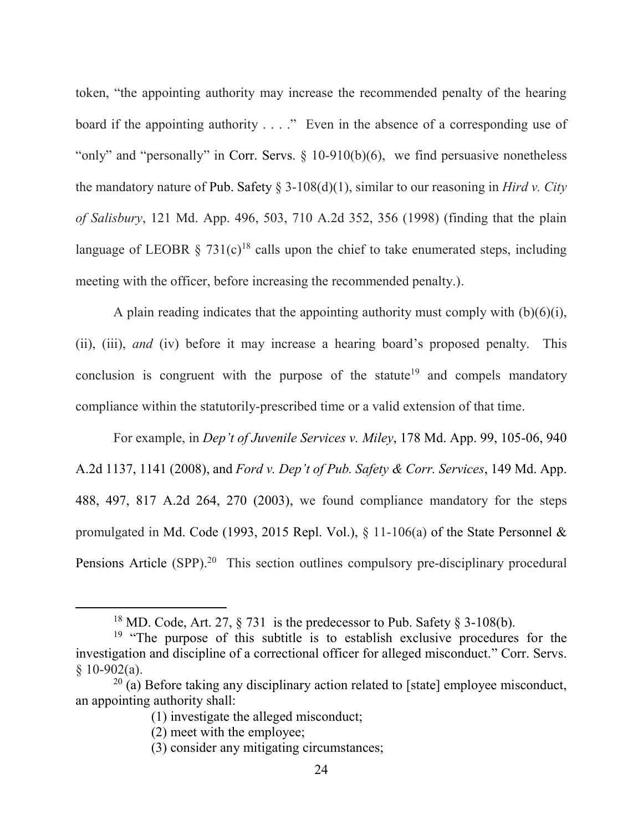token, "the appointing authority may increase the recommended penalty of the hearing board if the appointing authority . . . ." Even in the absence of a corresponding use of "only" and "personally" in Corr. Servs.  $\S$  10-910(b)(6), we find persuasive nonetheless the mandatory nature of Pub. Safety § 3-108(d)(1), similar to our reasoning in *Hird v. City of Salisbury*, 121 Md. App. 496, 503, 710 A.2d 352, 356 (1998) (finding that the plain language of LEOBR § 731(c)<sup>18</sup> calls upon the chief to take enumerated steps, including meeting with the officer, before increasing the recommended penalty.).

A plain reading indicates that the appointing authority must comply with  $(b)(6)(i)$ , (ii), (iii), *and* (iv) before it may increase a hearing board's proposed penalty. This conclusion is congruent with the purpose of the statute<sup>19</sup> and compels mandatory compliance within the statutorily-prescribed time or a valid extension of that time.

For example, in *Dep't of Juvenile Services v. Miley*, 178 Md. App. 99, 105-06, 940 A.2d 1137, 1141 (2008), and *Ford v. Dep't of Pub. Safety & Corr. Services*, 149 Md. App. 488, 497, 817 A.2d 264, 270 (2003), we found compliance mandatory for the steps promulgated in Md. Code (1993, 2015 Repl. Vol.), § 11-106(a) of the State Personnel & Pensions Article (SPP).<sup>20</sup> This section outlines compulsory pre-disciplinary procedural

<sup>&</sup>lt;sup>18</sup> MD. Code, Art. 27,  $\frac{5}{731}$  is the predecessor to Pub. Safety  $\frac{5}{731}$  3-108(b).

 $19$  "The purpose of this subtitle is to establish exclusive procedures for the investigation and discipline of a correctional officer for alleged misconduct." Corr. Servs.  $§ 10-902(a).$ 

 $20$  (a) Before taking any disciplinary action related to [state] employee misconduct, an appointing authority shall:

<sup>(1)</sup> investigate the alleged misconduct;

<sup>(2)</sup> meet with the employee;

<sup>(3)</sup> consider any mitigating circumstances;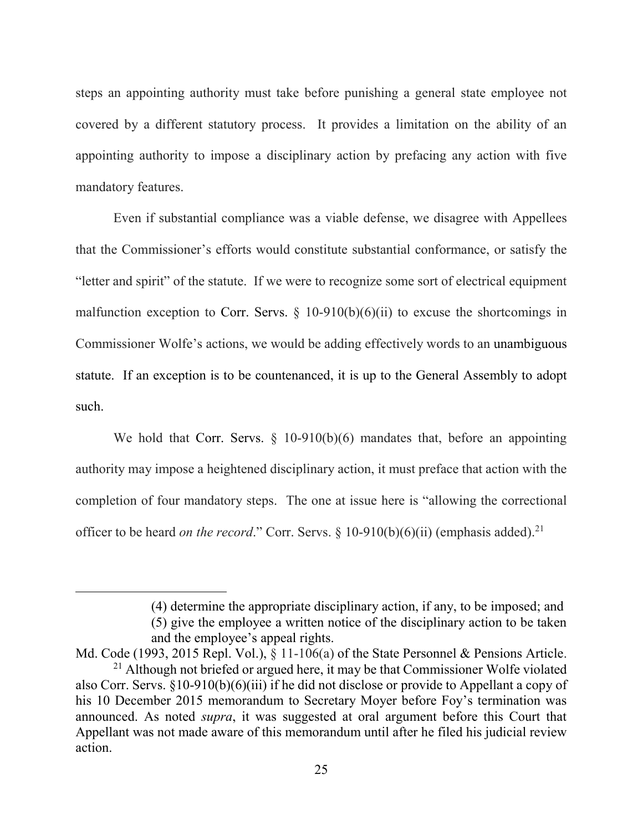steps an appointing authority must take before punishing a general state employee not covered by a different statutory process. It provides a limitation on the ability of an appointing authority to impose a disciplinary action by prefacing any action with five mandatory features.

Even if substantial compliance was a viable defense, we disagree with Appellees that the Commissioner's efforts would constitute substantial conformance, or satisfy the "letter and spirit" of the statute. If we were to recognize some sort of electrical equipment malfunction exception to Corr. Servs.  $\S$  10-910(b)(6)(ii) to excuse the shortcomings in Commissioner Wolfe's actions, we would be adding effectively words to an unambiguous statute. If an exception is to be countenanced, it is up to the General Assembly to adopt such.

We hold that Corr. Servs. § 10-910(b)(6) mandates that, before an appointing authority may impose a heightened disciplinary action, it must preface that action with the completion of four mandatory steps. The one at issue here is "allowing the correctional officer to be heard *on the record*." Corr. Servs. § 10-910(b)(6)(ii) (emphasis added).<sup>21</sup>

<sup>(4)</sup> determine the appropriate disciplinary action, if any, to be imposed; and

<sup>(5)</sup> give the employee a written notice of the disciplinary action to be taken and the employee's appeal rights.

Md. Code (1993, 2015 Repl. Vol.),  $\S$  11-106(a) of the State Personnel & Pensions Article. <sup>21</sup> Although not briefed or argued here, it may be that Commissioner Wolfe violated

also Corr. Servs. §10-910(b)(6)(iii) if he did not disclose or provide to Appellant a copy of his 10 December 2015 memorandum to Secretary Moyer before Foy's termination was announced. As noted *supra*, it was suggested at oral argument before this Court that Appellant was not made aware of this memorandum until after he filed his judicial review action.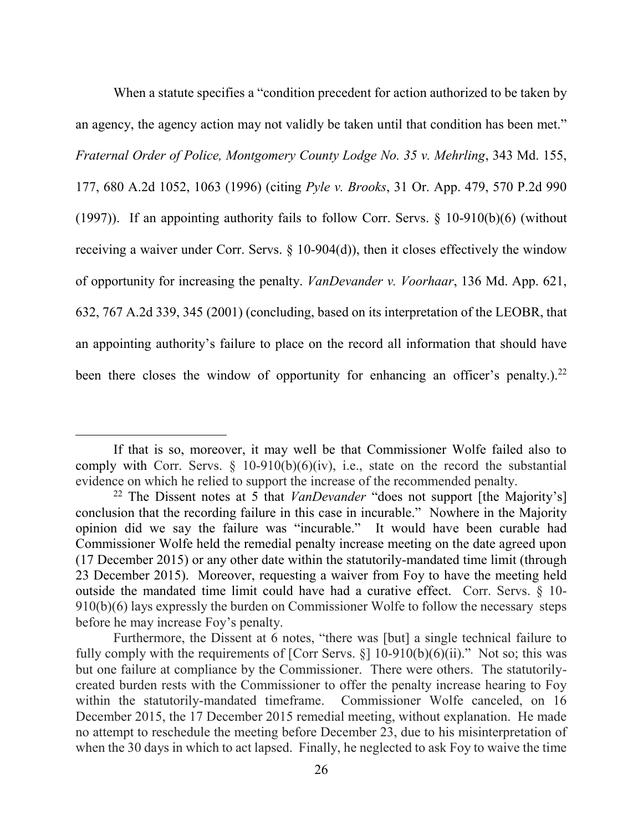When a statute specifies a "condition precedent for action authorized to be taken by an agency, the agency action may not validly be taken until that condition has been met." *Fraternal Order of Police, Montgomery County Lodge No. 35 v. Mehrling*, 343 Md. 155, 177, 680 A.2d 1052, 1063 (1996) (citing *Pyle v. Brooks*, 31 Or. App. 479, 570 P.2d 990 (1997)). If an appointing authority fails to follow Corr. Servs. § 10-910(b)(6) (without receiving a waiver under Corr. Servs. § 10-904(d)), then it closes effectively the window of opportunity for increasing the penalty. *VanDevander v. Voorhaar*, 136 Md. App. 621, 632, 767 A.2d 339, 345 (2001) (concluding, based on its interpretation of the LEOBR, that an appointing authority's failure to place on the record all information that should have been there closes the window of opportunity for enhancing an officer's penalty.).<sup>22</sup>

If that is so, moreover, it may well be that Commissioner Wolfe failed also to comply with Corr. Servs.  $\S$  10-910(b)(6)(iv), i.e., state on the record the substantial evidence on which he relied to support the increase of the recommended penalty.

<sup>22</sup> The Dissent notes at 5 that *VanDevander* "does not support [the Majority's] conclusion that the recording failure in this case in incurable." Nowhere in the Majority opinion did we say the failure was "incurable." It would have been curable had Commissioner Wolfe held the remedial penalty increase meeting on the date agreed upon (17 December 2015) or any other date within the statutorily-mandated time limit (through 23 December 2015). Moreover, requesting a waiver from Foy to have the meeting held outside the mandated time limit could have had a curative effect. Corr. Servs. § 10- 910(b)(6) lays expressly the burden on Commissioner Wolfe to follow the necessary steps before he may increase Foy's penalty.

Furthermore, the Dissent at 6 notes, "there was [but] a single technical failure to fully comply with the requirements of [Corr Servs.  $\S$ ] 10-910(b)(6)(ii)." Not so; this was but one failure at compliance by the Commissioner. There were others. The statutorilycreated burden rests with the Commissioner to offer the penalty increase hearing to Foy within the statutorily-mandated timeframe. Commissioner Wolfe canceled, on 16 December 2015, the 17 December 2015 remedial meeting, without explanation. He made no attempt to reschedule the meeting before December 23, due to his misinterpretation of when the 30 days in which to act lapsed. Finally, he neglected to ask Foy to waive the time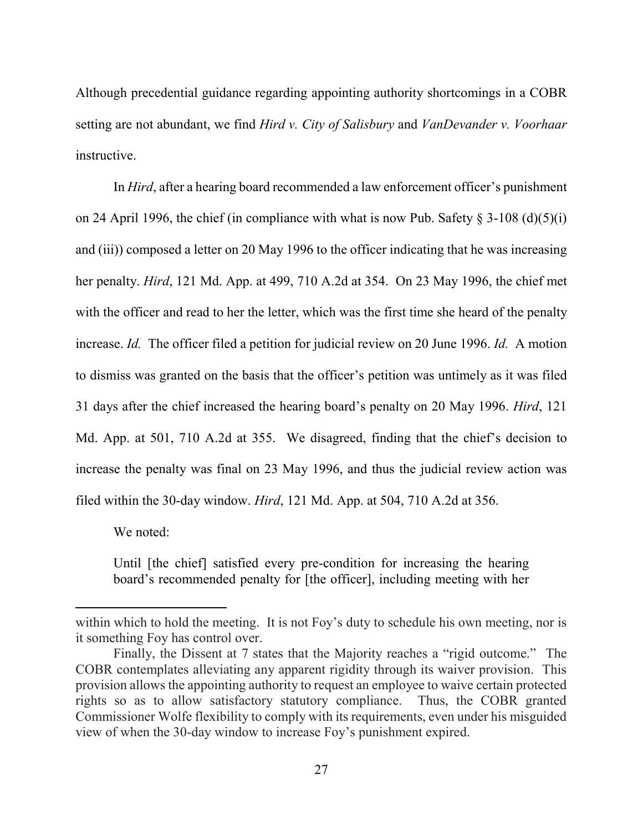Although precedential guidance regarding appointing authority shortcomings in a COBR setting are not abundant, we find *Hird v. City of Salisbury* and *VanDevander v. Voorhaar* instructive.

In *Hird*, after a hearing board recommended a law enforcement officer's punishment on 24 April 1996, the chief (in compliance with what is now Pub. Safety  $\S$  3-108 (d)(5)(i) and (iii)) composed a letter on 20 May 1996 to the officer indicating that he was increasing her penalty. *Hird*, 121 Md. App. at 499, 710 A.2d at 354. On 23 May 1996, the chief met with the officer and read to her the letter, which was the first time she heard of the penalty increase. *Id.* The officer filed a petition for judicial review on 20 June 1996. *Id.* A motion to dismiss was granted on the basis that the officer's petition was untimely as it was filed 31 days after the chief increased the hearing board's penalty on 20 May 1996. *Hird*, 121 Md. App. at 501, 710 A.2d at 355. We disagreed, finding that the chief's decision to increase the penalty was final on 23 May 1996, and thus the judicial review action was filed within the 30-day window. *Hird*, 121 Md. App. at 504, 710 A.2d at 356.

We noted:

 $\overline{a}$ 

Until [the chief] satisfied every pre-condition for increasing the hearing board's recommended penalty for [the officer], including meeting with her

within which to hold the meeting. It is not Foy's duty to schedule his own meeting, nor is it something Foy has control over.

Finally, the Dissent at 7 states that the Majority reaches a "rigid outcome." The COBR contemplates alleviating any apparent rigidity through its waiver provision. This provision allows the appointing authority to request an employee to waive certain protected rights so as to allow satisfactory statutory compliance. Thus, the COBR granted Commissioner Wolfe flexibility to comply with its requirements, even under his misguided view of when the 30-day window to increase Foy's punishment expired.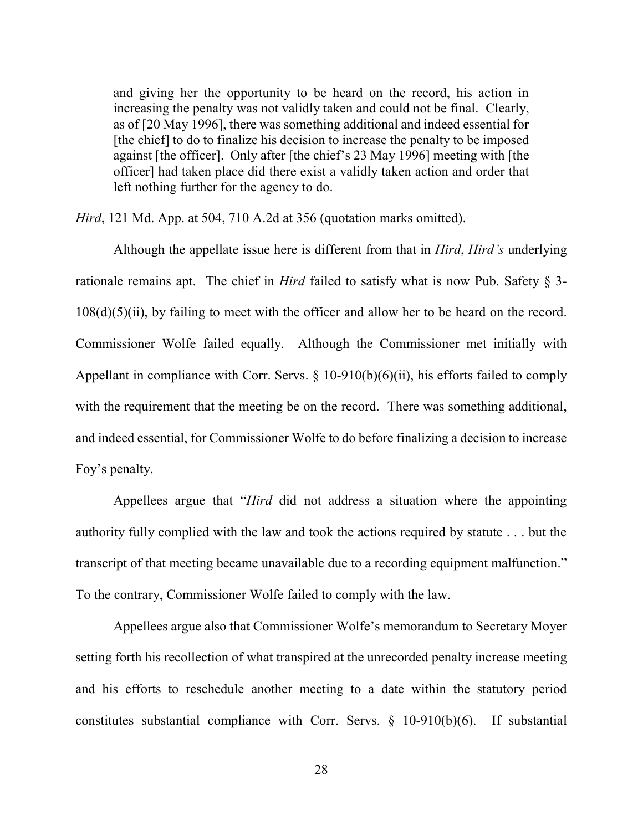and giving her the opportunity to be heard on the record, his action in increasing the penalty was not validly taken and could not be final. Clearly, as of [20 May 1996], there was something additional and indeed essential for [the chief] to do to finalize his decision to increase the penalty to be imposed against [the officer]. Only after [the chief's 23 May 1996] meeting with [the officer] had taken place did there exist a validly taken action and order that left nothing further for the agency to do.

*Hird*, 121 Md. App. at 504, 710 A.2d at 356 (quotation marks omitted).

Although the appellate issue here is different from that in *Hird*, *Hird's* underlying rationale remains apt. The chief in *Hird* failed to satisfy what is now Pub. Safety § 3- 108(d)(5)(ii), by failing to meet with the officer and allow her to be heard on the record. Commissioner Wolfe failed equally. Although the Commissioner met initially with Appellant in compliance with Corr. Servs.  $\S$  10-910(b)(6)(ii), his efforts failed to comply with the requirement that the meeting be on the record. There was something additional, and indeed essential, for Commissioner Wolfe to do before finalizing a decision to increase Foy's penalty.

Appellees argue that "*Hird* did not address a situation where the appointing authority fully complied with the law and took the actions required by statute . . . but the transcript of that meeting became unavailable due to a recording equipment malfunction." To the contrary, Commissioner Wolfe failed to comply with the law.

Appellees argue also that Commissioner Wolfe's memorandum to Secretary Moyer setting forth his recollection of what transpired at the unrecorded penalty increase meeting and his efforts to reschedule another meeting to a date within the statutory period constitutes substantial compliance with Corr. Servs. § 10-910(b)(6). If substantial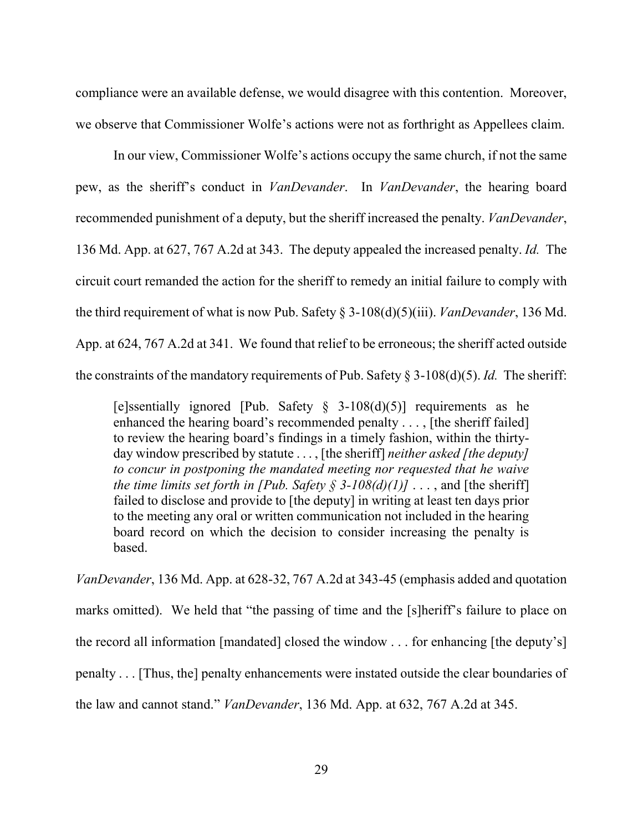compliance were an available defense, we would disagree with this contention. Moreover, we observe that Commissioner Wolfe's actions were not as forthright as Appellees claim.

 In our view, Commissioner Wolfe's actions occupy the same church, if not the same pew, as the sheriff's conduct in *VanDevander*. In *VanDevander*, the hearing board recommended punishment of a deputy, but the sheriff increased the penalty. *VanDevander*, 136 Md. App. at 627, 767 A.2d at 343. The deputy appealed the increased penalty. *Id.* The circuit court remanded the action for the sheriff to remedy an initial failure to comply with the third requirement of what is now Pub. Safety § 3-108(d)(5)(iii). *VanDevander*, 136 Md. App. at 624, 767 A.2d at 341. We found that relief to be erroneous; the sheriff acted outside the constraints of the mandatory requirements of Pub. Safety § 3-108(d)(5). *Id.* The sheriff:

[e]ssentially ignored [Pub. Safety  $\S$  3-108(d)(5)] requirements as he enhanced the hearing board's recommended penalty . . . , [the sheriff failed] to review the hearing board's findings in a timely fashion, within the thirtyday window prescribed by statute . . . , [the sheriff] *neither asked [the deputy] to concur in postponing the mandated meeting nor requested that he waive the time limits set forth in [Pub. Safety § 3-108(d)(1)]* . . . , and [the sheriff] failed to disclose and provide to [the deputy] in writing at least ten days prior to the meeting any oral or written communication not included in the hearing board record on which the decision to consider increasing the penalty is based.

*VanDevander*, 136 Md. App. at 628-32, 767 A.2d at 343-45 (emphasis added and quotation marks omitted). We held that "the passing of time and the [s]heriff's failure to place on the record all information [mandated] closed the window . . . for enhancing [the deputy's] penalty . . . [Thus, the] penalty enhancements were instated outside the clear boundaries of the law and cannot stand." *VanDevander*, 136 Md. App. at 632, 767 A.2d at 345.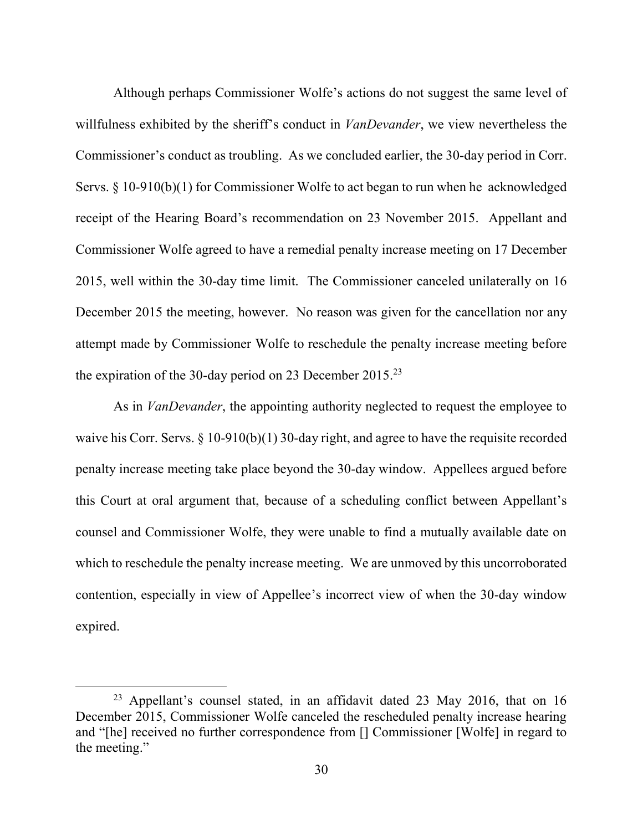Although perhaps Commissioner Wolfe's actions do not suggest the same level of willfulness exhibited by the sheriff's conduct in *VanDevander*, we view nevertheless the Commissioner's conduct as troubling. As we concluded earlier, the 30-day period in Corr. Servs. § 10-910(b)(1) for Commissioner Wolfe to act began to run when he acknowledged receipt of the Hearing Board's recommendation on 23 November 2015. Appellant and Commissioner Wolfe agreed to have a remedial penalty increase meeting on 17 December 2015, well within the 30-day time limit. The Commissioner canceled unilaterally on 16 December 2015 the meeting, however. No reason was given for the cancellation nor any attempt made by Commissioner Wolfe to reschedule the penalty increase meeting before the expiration of the 30-day period on 23 December 2015.<sup>23</sup>

 As in *VanDevander*, the appointing authority neglected to request the employee to waive his Corr. Servs. § 10-910(b)(1) 30-day right, and agree to have the requisite recorded penalty increase meeting take place beyond the 30-day window. Appellees argued before this Court at oral argument that, because of a scheduling conflict between Appellant's counsel and Commissioner Wolfe, they were unable to find a mutually available date on which to reschedule the penalty increase meeting. We are unmoved by this uncorroborated contention, especially in view of Appellee's incorrect view of when the 30-day window expired.

<sup>&</sup>lt;sup>23</sup> Appellant's counsel stated, in an affidavit dated 23 May 2016, that on 16 December 2015, Commissioner Wolfe canceled the rescheduled penalty increase hearing and "[he] received no further correspondence from [] Commissioner [Wolfe] in regard to the meeting."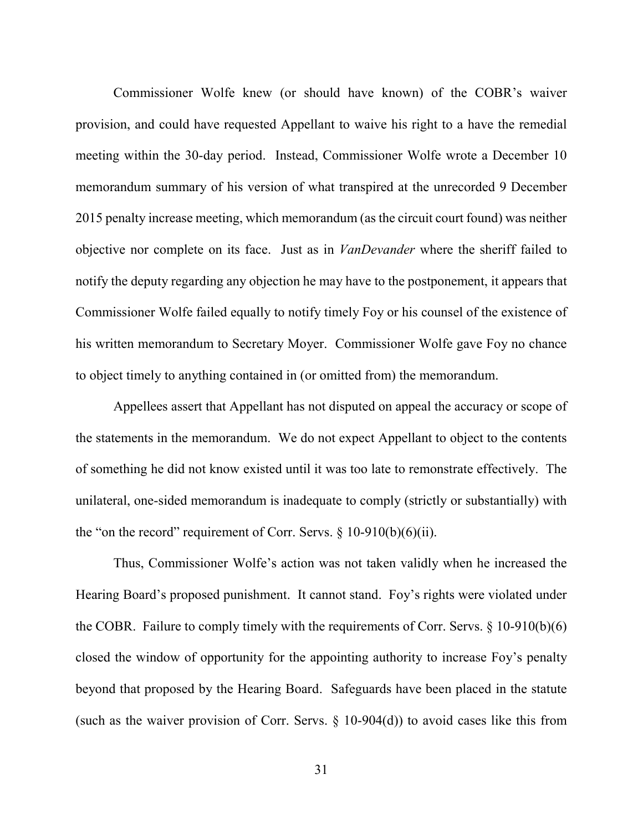Commissioner Wolfe knew (or should have known) of the COBR's waiver provision, and could have requested Appellant to waive his right to a have the remedial meeting within the 30-day period. Instead, Commissioner Wolfe wrote a December 10 memorandum summary of his version of what transpired at the unrecorded 9 December 2015 penalty increase meeting, which memorandum (as the circuit court found) was neither objective nor complete on its face. Just as in *VanDevander* where the sheriff failed to notify the deputy regarding any objection he may have to the postponement, it appears that Commissioner Wolfe failed equally to notify timely Foy or his counsel of the existence of his written memorandum to Secretary Moyer. Commissioner Wolfe gave Foy no chance to object timely to anything contained in (or omitted from) the memorandum.

Appellees assert that Appellant has not disputed on appeal the accuracy or scope of the statements in the memorandum. We do not expect Appellant to object to the contents of something he did not know existed until it was too late to remonstrate effectively. The unilateral, one-sided memorandum is inadequate to comply (strictly or substantially) with the "on the record" requirement of Corr. Servs.  $\S$  10-910(b)(6)(ii).

Thus, Commissioner Wolfe's action was not taken validly when he increased the Hearing Board's proposed punishment. It cannot stand. Foy's rights were violated under the COBR. Failure to comply timely with the requirements of Corr. Servs. § 10-910(b)(6) closed the window of opportunity for the appointing authority to increase Foy's penalty beyond that proposed by the Hearing Board. Safeguards have been placed in the statute (such as the waiver provision of Corr. Servs. § 10-904(d)) to avoid cases like this from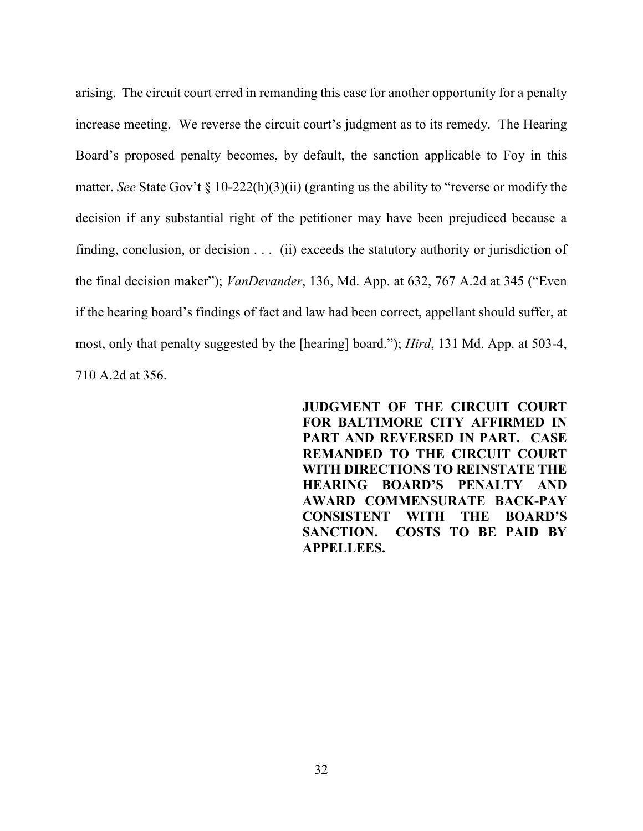arising. The circuit court erred in remanding this case for another opportunity for a penalty increase meeting. We reverse the circuit court's judgment as to its remedy. The Hearing Board's proposed penalty becomes, by default, the sanction applicable to Foy in this matter. *See* State Gov't § 10-222(h)(3)(ii) (granting us the ability to "reverse or modify the decision if any substantial right of the petitioner may have been prejudiced because a finding, conclusion, or decision . . . (ii) exceeds the statutory authority or jurisdiction of the final decision maker"); *VanDevander*, 136, Md. App. at 632, 767 A.2d at 345 ("Even if the hearing board's findings of fact and law had been correct, appellant should suffer, at most, only that penalty suggested by the [hearing] board."); *Hird*, 131 Md. App. at 503-4, 710 A.2d at 356.

> **JUDGMENT OF THE CIRCUIT COURT FOR BALTIMORE CITY AFFIRMED IN PART AND REVERSED IN PART. CASE REMANDED TO THE CIRCUIT COURT WITH DIRECTIONS TO REINSTATE THE HEARING BOARD'S PENALTY AND AWARD COMMENSURATE BACK-PAY CONSISTENT WITH THE BOARD'S SANCTION. COSTS TO BE PAID BY APPELLEES.**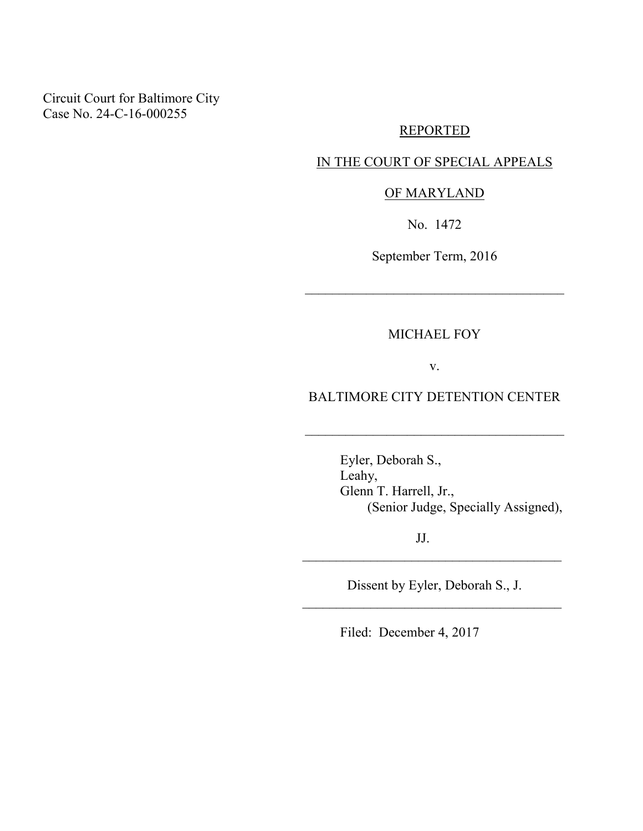Circuit Court for Baltimore City Case No. 24-C-16-000255

## REPORTED

### IN THE COURT OF SPECIAL APPEALS

### OF MARYLAND

No. 1472

September Term, 2016

\_\_\_\_\_\_\_\_\_\_\_\_\_\_\_\_\_\_\_\_\_\_\_\_\_\_\_\_\_\_\_\_\_\_\_\_\_\_

MICHAEL FOY

v.

### BALTIMORE CITY DETENTION CENTER

\_\_\_\_\_\_\_\_\_\_\_\_\_\_\_\_\_\_\_\_\_\_\_\_\_\_\_\_\_\_\_\_\_\_\_\_\_\_

 Eyler, Deborah S., Leahy, Glenn T. Harrell, Jr., (Senior Judge, Specially Assigned),

JJ.

Dissent by Eyler, Deborah S., J. \_\_\_\_\_\_\_\_\_\_\_\_\_\_\_\_\_\_\_\_\_\_\_\_\_\_\_\_\_\_\_\_\_\_\_\_\_\_

\_\_\_\_\_\_\_\_\_\_\_\_\_\_\_\_\_\_\_\_\_\_\_\_\_\_\_\_\_\_\_\_\_\_\_\_\_\_

Filed: December 4, 2017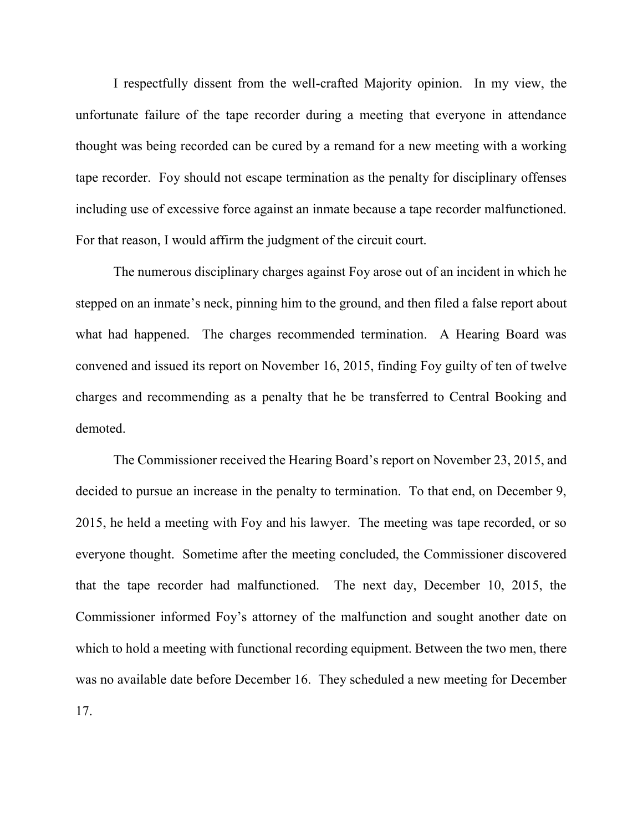I respectfully dissent from the well-crafted Majority opinion. In my view, the unfortunate failure of the tape recorder during a meeting that everyone in attendance thought was being recorded can be cured by a remand for a new meeting with a working tape recorder. Foy should not escape termination as the penalty for disciplinary offenses including use of excessive force against an inmate because a tape recorder malfunctioned. For that reason, I would affirm the judgment of the circuit court.

 The numerous disciplinary charges against Foy arose out of an incident in which he stepped on an inmate's neck, pinning him to the ground, and then filed a false report about what had happened. The charges recommended termination. A Hearing Board was convened and issued its report on November 16, 2015, finding Foy guilty of ten of twelve charges and recommending as a penalty that he be transferred to Central Booking and demoted.

 The Commissioner received the Hearing Board's report on November 23, 2015, and decided to pursue an increase in the penalty to termination. To that end, on December 9, 2015, he held a meeting with Foy and his lawyer. The meeting was tape recorded, or so everyone thought. Sometime after the meeting concluded, the Commissioner discovered that the tape recorder had malfunctioned. The next day, December 10, 2015, the Commissioner informed Foy's attorney of the malfunction and sought another date on which to hold a meeting with functional recording equipment. Between the two men, there was no available date before December 16. They scheduled a new meeting for December 17.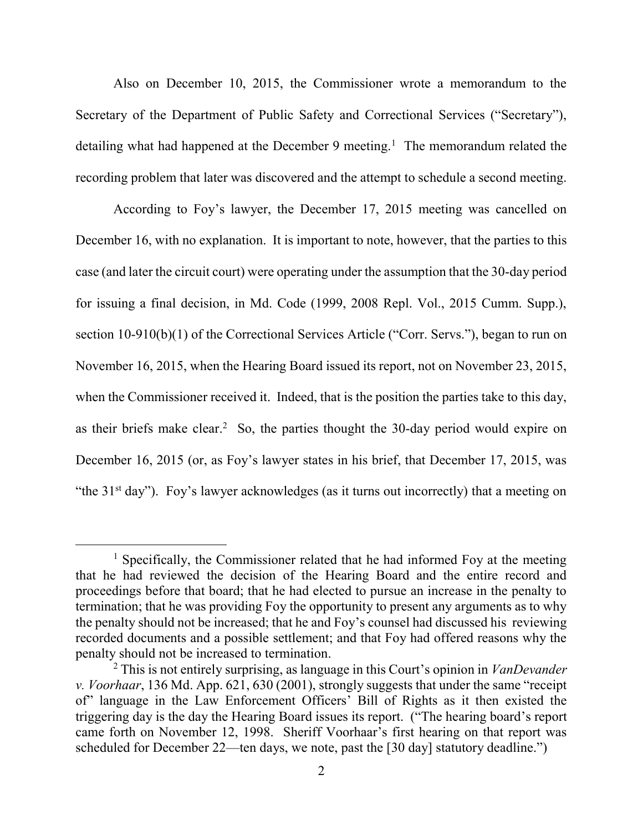Also on December 10, 2015, the Commissioner wrote a memorandum to the Secretary of the Department of Public Safety and Correctional Services ("Secretary"), detailing what had happened at the December 9 meeting.<sup>1</sup> The memorandum related the recording problem that later was discovered and the attempt to schedule a second meeting.

According to Foy's lawyer, the December 17, 2015 meeting was cancelled on December 16, with no explanation. It is important to note, however, that the parties to this case (and later the circuit court) were operating under the assumption that the 30-day period for issuing a final decision, in Md. Code (1999, 2008 Repl. Vol., 2015 Cumm. Supp.), section 10-910(b)(1) of the Correctional Services Article ("Corr. Servs."), began to run on November 16, 2015, when the Hearing Board issued its report, not on November 23, 2015, when the Commissioner received it. Indeed, that is the position the parties take to this day, as their briefs make clear.<sup>2</sup> So, the parties thought the 30-day period would expire on December 16, 2015 (or, as Foy's lawyer states in his brief, that December 17, 2015, was "the 31st day"). Foy's lawyer acknowledges (as it turns out incorrectly) that a meeting on

<sup>&</sup>lt;sup>1</sup> Specifically, the Commissioner related that he had informed Foy at the meeting that he had reviewed the decision of the Hearing Board and the entire record and proceedings before that board; that he had elected to pursue an increase in the penalty to termination; that he was providing Foy the opportunity to present any arguments as to why the penalty should not be increased; that he and Foy's counsel had discussed his reviewing recorded documents and a possible settlement; and that Foy had offered reasons why the penalty should not be increased to termination.

<sup>2</sup> This is not entirely surprising, as language in this Court's opinion in *VanDevander v. Voorhaar*, 136 Md. App. 621, 630 (2001), strongly suggests that under the same "receipt of" language in the Law Enforcement Officers' Bill of Rights as it then existed the triggering day is the day the Hearing Board issues its report. ("The hearing board's report came forth on November 12, 1998. Sheriff Voorhaar's first hearing on that report was scheduled for December 22—ten days, we note, past the [30 day] statutory deadline.")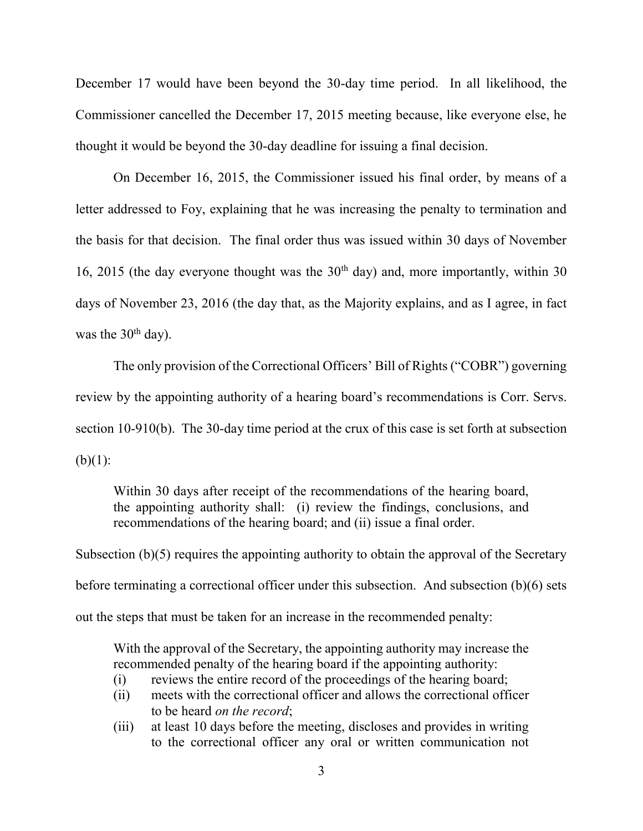December 17 would have been beyond the 30-day time period. In all likelihood, the Commissioner cancelled the December 17, 2015 meeting because, like everyone else, he thought it would be beyond the 30-day deadline for issuing a final decision.

 On December 16, 2015, the Commissioner issued his final order, by means of a letter addressed to Foy, explaining that he was increasing the penalty to termination and the basis for that decision. The final order thus was issued within 30 days of November 16, 2015 (the day everyone thought was the  $30<sup>th</sup>$  day) and, more importantly, within 30 days of November 23, 2016 (the day that, as the Majority explains, and as I agree, in fact was the  $30<sup>th</sup>$  day).

 The only provision of the Correctional Officers' Bill of Rights ("COBR") governing review by the appointing authority of a hearing board's recommendations is Corr. Servs. section 10-910(b). The 30-day time period at the crux of this case is set forth at subsection  $(b)(1)$ :

Within 30 days after receipt of the recommendations of the hearing board, the appointing authority shall: (i) review the findings, conclusions, and recommendations of the hearing board; and (ii) issue a final order.

Subsection (b)(5) requires the appointing authority to obtain the approval of the Secretary before terminating a correctional officer under this subsection. And subsection (b)(6) sets out the steps that must be taken for an increase in the recommended penalty:

With the approval of the Secretary, the appointing authority may increase the recommended penalty of the hearing board if the appointing authority:

- (i) reviews the entire record of the proceedings of the hearing board;
- (ii) meets with the correctional officer and allows the correctional officer to be heard *on the record*;
- (iii) at least 10 days before the meeting, discloses and provides in writing to the correctional officer any oral or written communication not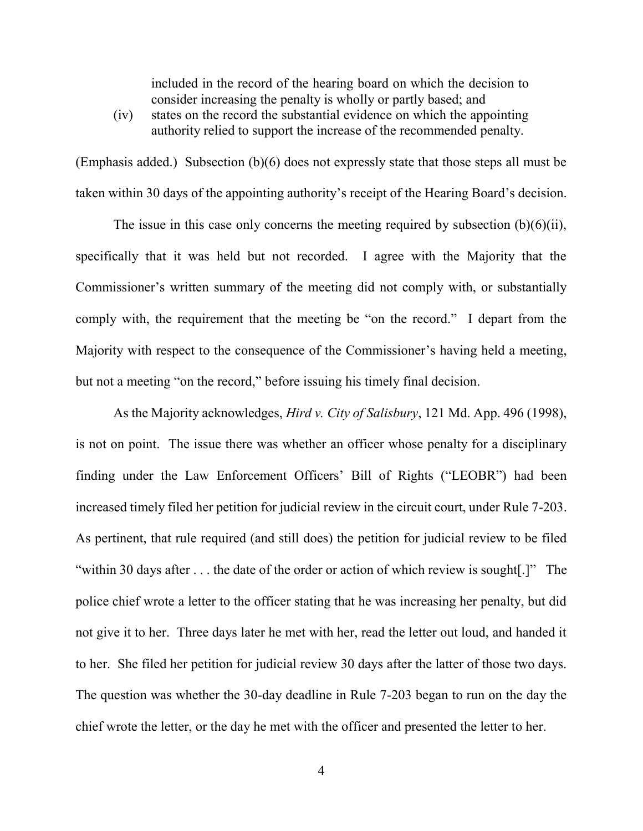included in the record of the hearing board on which the decision to consider increasing the penalty is wholly or partly based; and

(iv) states on the record the substantial evidence on which the appointing authority relied to support the increase of the recommended penalty.

(Emphasis added.) Subsection (b)(6) does not expressly state that those steps all must be taken within 30 days of the appointing authority's receipt of the Hearing Board's decision.

 The issue in this case only concerns the meeting required by subsection (b)(6)(ii), specifically that it was held but not recorded. I agree with the Majority that the Commissioner's written summary of the meeting did not comply with, or substantially comply with, the requirement that the meeting be "on the record." I depart from the Majority with respect to the consequence of the Commissioner's having held a meeting, but not a meeting "on the record," before issuing his timely final decision.

 As the Majority acknowledges, *Hird v. City of Salisbury*, 121 Md. App. 496 (1998), is not on point. The issue there was whether an officer whose penalty for a disciplinary finding under the Law Enforcement Officers' Bill of Rights ("LEOBR") had been increased timely filed her petition for judicial review in the circuit court, under Rule 7-203. As pertinent, that rule required (and still does) the petition for judicial review to be filed "within 30 days after . . . the date of the order or action of which review is sought[.]" The police chief wrote a letter to the officer stating that he was increasing her penalty, but did not give it to her. Three days later he met with her, read the letter out loud, and handed it to her. She filed her petition for judicial review 30 days after the latter of those two days. The question was whether the 30-day deadline in Rule 7-203 began to run on the day the chief wrote the letter, or the day he met with the officer and presented the letter to her.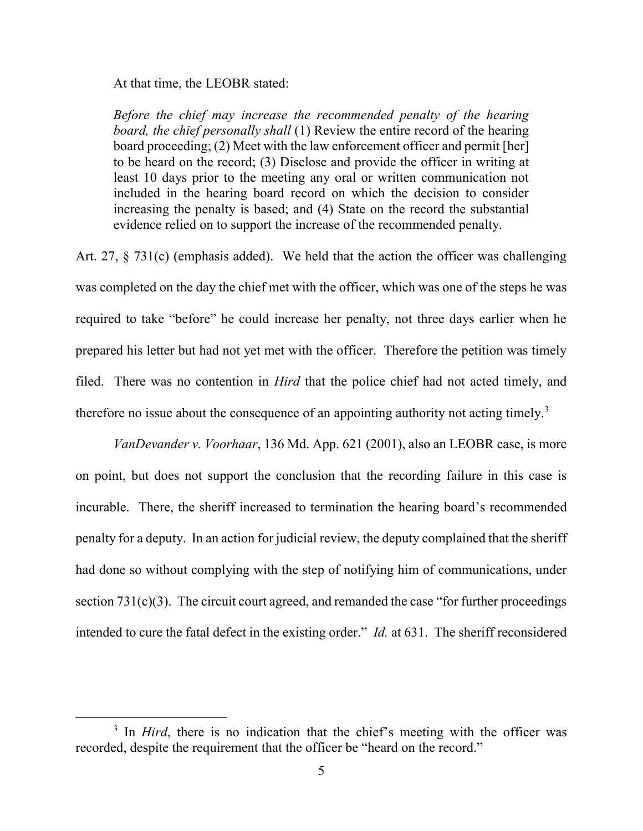At that time, the LEOBR stated:

*Before the chief may increase the recommended penalty of the hearing board, the chief personally shall* (1) Review the entire record of the hearing board proceeding; (2) Meet with the law enforcement officer and permit [her] to be heard on the record; (3) Disclose and provide the officer in writing at least 10 days prior to the meeting any oral or written communication not included in the hearing board record on which the decision to consider increasing the penalty is based; and (4) State on the record the substantial evidence relied on to support the increase of the recommended penalty.

Art. 27, § 731(c) (emphasis added). We held that the action the officer was challenging was completed on the day the chief met with the officer, which was one of the steps he was required to take "before" he could increase her penalty, not three days earlier when he prepared his letter but had not yet met with the officer. Therefore the petition was timely filed. There was no contention in *Hird* that the police chief had not acted timely, and therefore no issue about the consequence of an appointing authority not acting timely.<sup>3</sup>

*VanDevander v. Voorhaar*, 136 Md. App. 621 (2001), also an LEOBR case, is more on point, but does not support the conclusion that the recording failure in this case is incurable. There, the sheriff increased to termination the hearing board's recommended penalty for a deputy. In an action for judicial review, the deputy complained that the sheriff had done so without complying with the step of notifying him of communications, under section  $731(c)(3)$ . The circuit court agreed, and remanded the case "for further proceedings" intended to cure the fatal defect in the existing order." *Id.* at 631. The sheriff reconsidered

<sup>&</sup>lt;sup>3</sup> In *Hird*, there is no indication that the chief's meeting with the officer was recorded, despite the requirement that the officer be "heard on the record."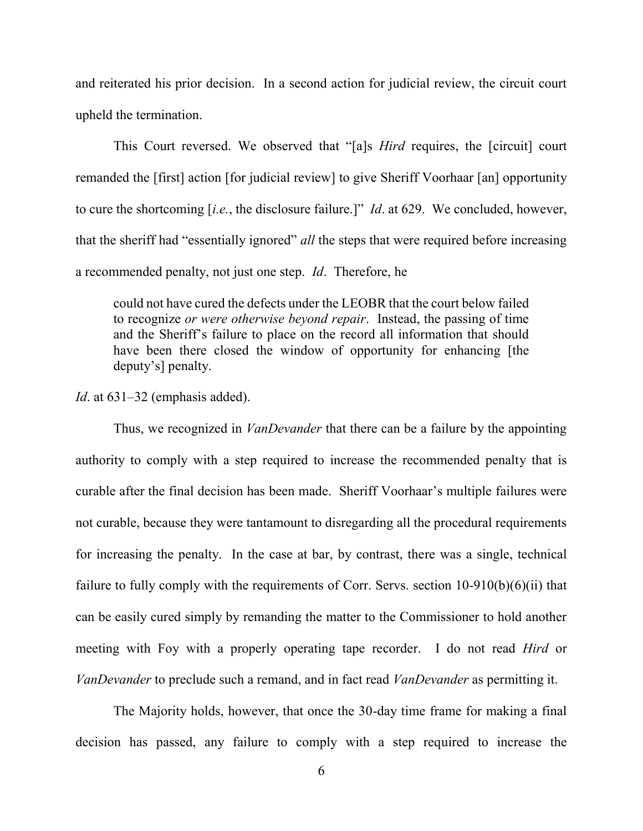and reiterated his prior decision. In a second action for judicial review, the circuit court upheld the termination.

 This Court reversed. We observed that "[a]s *Hird* requires, the [circuit] court remanded the [first] action [for judicial review] to give Sheriff Voorhaar [an] opportunity to cure the shortcoming [*i.e.*, the disclosure failure.]" *Id*. at 629. We concluded, however, that the sheriff had "essentially ignored" *all* the steps that were required before increasing a recommended penalty, not just one step. *Id*. Therefore, he

could not have cured the defects under the LEOBR that the court below failed to recognize *or were otherwise beyond repair*. Instead, the passing of time and the Sheriff's failure to place on the record all information that should have been there closed the window of opportunity for enhancing [the deputy's] penalty.

#### *Id*. at 631–32 (emphasis added).

 Thus, we recognized in *VanDevander* that there can be a failure by the appointing authority to comply with a step required to increase the recommended penalty that is curable after the final decision has been made. Sheriff Voorhaar's multiple failures were not curable, because they were tantamount to disregarding all the procedural requirements for increasing the penalty. In the case at bar, by contrast, there was a single, technical failure to fully comply with the requirements of Corr. Servs. section 10-910(b)(6)(ii) that can be easily cured simply by remanding the matter to the Commissioner to hold another meeting with Foy with a properly operating tape recorder. I do not read *Hird* or *VanDevander* to preclude such a remand, and in fact read *VanDevander* as permitting it.

 The Majority holds, however, that once the 30-day time frame for making a final decision has passed, any failure to comply with a step required to increase the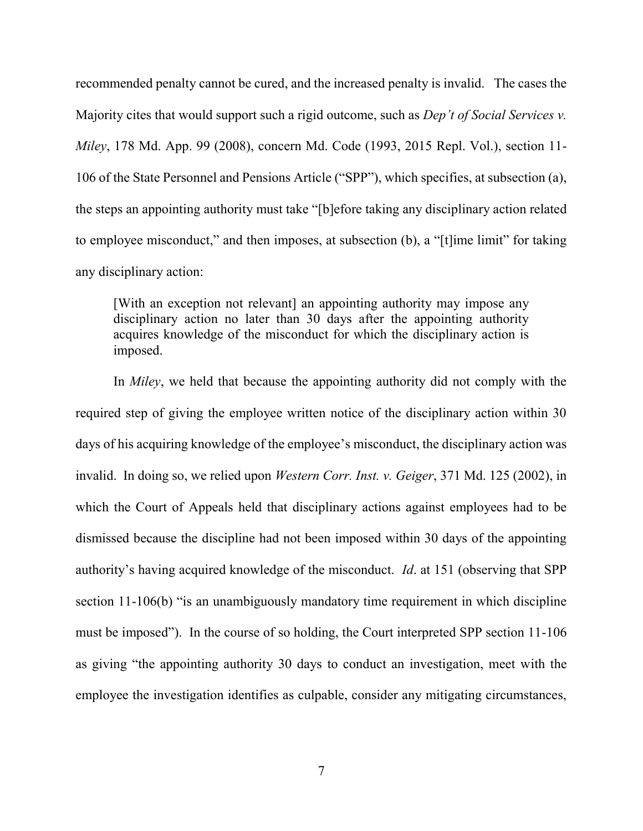recommended penalty cannot be cured, and the increased penalty is invalid. The cases the Majority cites that would support such a rigid outcome, such as *Dep't of Social Services v. Miley*, 178 Md. App. 99 (2008), concern Md. Code (1993, 2015 Repl. Vol.), section 11- 106 of the State Personnel and Pensions Article ("SPP"), which specifies, at subsection (a), the steps an appointing authority must take "[b]efore taking any disciplinary action related to employee misconduct," and then imposes, at subsection (b), a "[t]ime limit" for taking any disciplinary action:

[With an exception not relevant] an appointing authority may impose any disciplinary action no later than 30 days after the appointing authority acquires knowledge of the misconduct for which the disciplinary action is imposed.

In *Miley*, we held that because the appointing authority did not comply with the required step of giving the employee written notice of the disciplinary action within 30 days of his acquiring knowledge of the employee's misconduct, the disciplinary action was invalid. In doing so, we relied upon *Western Corr. Inst. v. Geiger*, 371 Md. 125 (2002), in which the Court of Appeals held that disciplinary actions against employees had to be dismissed because the discipline had not been imposed within 30 days of the appointing authority's having acquired knowledge of the misconduct. *Id*. at 151 (observing that SPP section 11-106(b) "is an unambiguously mandatory time requirement in which discipline must be imposed"). In the course of so holding, the Court interpreted SPP section 11-106 as giving "the appointing authority 30 days to conduct an investigation, meet with the employee the investigation identifies as culpable, consider any mitigating circumstances,